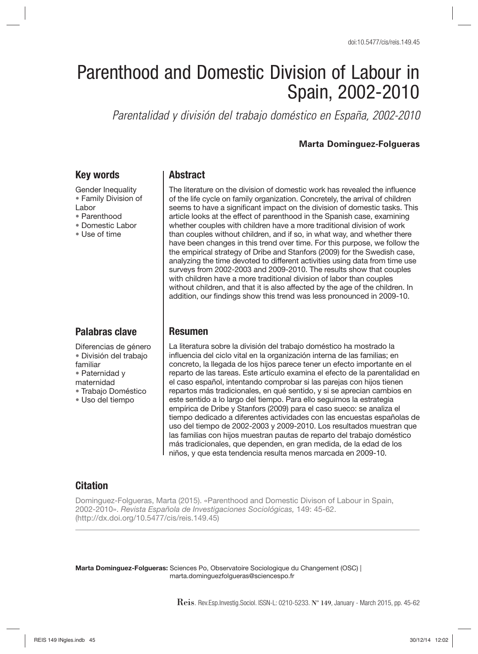# Parenthood and Domestic Division of Labour in Spain, 2002-2010

*Parentalidad y división del trabajo doméstico en España, 2002-2010*

#### **Marta Dominguez-Folgueras**

### **Key words**

Gender Inequality • Family Division of Labor

- Parenthood
- Domestic Labor
- Use of time

## **Palabras clave**

Diferencias de género • División del trabajo familiar • Paternidad y maternidad

- Trabajo Doméstico
- Uso del tiempo

#### **Abstract**

The literature on the division of domestic work has revealed the influence of the life cycle on family organization. Concretely, the arrival of children seems to have a significant impact on the division of domestic tasks. This article looks at the effect of parenthood in the Spanish case, examining whether couples with children have a more traditional division of work than couples without children, and if so, in what way, and whether there have been changes in this trend over time. For this purpose, we follow the the empirical strategy of Dribe and Stanfors (2009) for the Swedish case, analyzing the time devoted to different activities using data from time use surveys from 2002-2003 and 2009-2010. The results show that couples with children have a more traditional division of labor than couples without children, and that it is also affected by the age of the children. In addition, our findings show this trend was less pronounced in 2009-10.

#### **Resumen**

La literatura sobre la división del trabajo doméstico ha mostrado la influencia del ciclo vital en la organización interna de las familias; en concreto, la llegada de los hijos parece tener un efecto importante en el reparto de las tareas. Este artículo examina el efecto de la parentalidad en el caso español, intentando comprobar si las parejas con hijos tienen repartos más tradicionales, en qué sentido, y si se aprecian cambios en este sentido a lo largo del tiempo. Para ello seguimos la estrategia empírica de Dribe y Stanfors (2009) para el caso sueco: se analiza el tiempo dedicado a diferentes actividades con las encuestas españolas de uso del tiempo de 2002-2003 y 2009-2010. Los resultados muestran que las familias con hijos muestran pautas de reparto del trabajo doméstico más tradicionales, que dependen, en gran medida, de la edad de los niños, y que esta tendencia resulta menos marcada en 2009-10.

# **Citation**

Dominguez-Folgueras, Marta (2015). «Parenthood and Domestic Divison of Labour in Spain, 2002-2010». Revista Española de Investigaciones Sociológicas, 149: 45-62. (http://dx.doi.org/10.5477/cis/reis.149.45)

**Marta Dominguez-Folgueras:** Sciences Po, Observatoire Sociologique du Changement (OSC) | marta.dominguezfolgueras@sciencespo.fr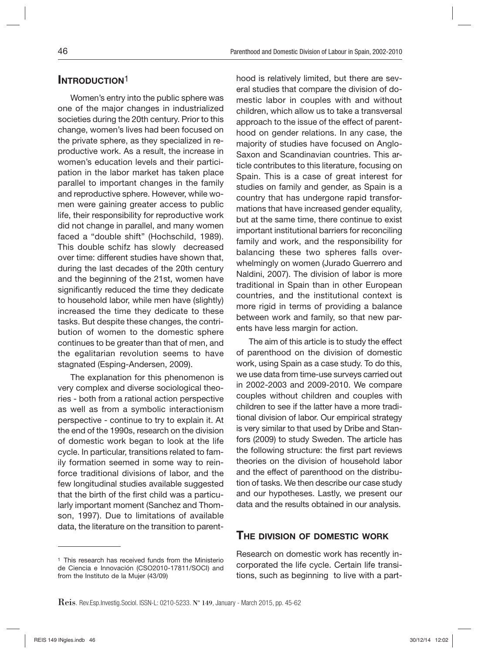# **INTRODUCTION**1

Women's entry into the public sphere was one of the major changes in industrialized societies during the 20th century. Prior to this change, women's lives had been focused on the private sphere, as they specialized in reproductive work. As a result, the increase in women's education levels and their participation in the labor market has taken place parallel to important changes in the family and reproductive sphere. However, while women were gaining greater access to public life, their responsibility for reproductive work did not change in parallel, and many women faced a "double shift" (Hochschild, 1989). This double schifz has slowly decreased over time: different studies have shown that, during the last decades of the 20th century and the beginning of the 21st, women have significantly reduced the time they dedicate to household labor, while men have (slightly) increased the time they dedicate to these tasks. But despite these changes, the contribution of women to the domestic sphere continues to be greater than that of men, and the egalitarian revolution seems to have stagnated (Esping-Andersen, 2009).

The explanation for this phenomenon is very complex and diverse sociological theories - both from a rational action perspective as well as from a symbolic interactionism perspective - continue to try to explain it. At the end of the 1990s, research on the division of domestic work began to look at the life cycle. In particular, transitions related to family formation seemed in some way to reinforce traditional divisions of labor, and the few longitudinal studies available suggested that the birth of the first child was a particularly important moment (Sanchez and Thomson, 1997). Due to limitations of available data, the literature on the transition to parenthood is relatively limited, but there are several studies that compare the division of domestic labor in couples with and without children, which allow us to take a transversal approach to the issue of the effect of parenthood on gender relations. In any case, the majority of studies have focused on Anglo-Saxon and Scandinavian countries. This article contributes to this literature, focusing on Spain. This is a case of great interest for studies on family and gender, as Spain is a country that has undergone rapid transformations that have increased gender equality, but at the same time, there continue to exist important institutional barriers for reconciling family and work, and the responsibility for balancing these two spheres falls overwhelmingly on women (Jurado Guerrero and Naldini, 2007). The division of labor is more traditional in Spain than in other European countries, and the institutional context is more rigid in terms of providing a balance between work and family, so that new parents have less margin for action.

The aim of this article is to study the effect of parenthood on the division of domestic work, using Spain as a case study. To do this, we use data from time-use surveys carried out in 2002-2003 and 2009-2010. We compare couples without children and couples with children to see if the latter have a more traditional division of labor. Our empirical strategy is very similar to that used by Dribe and Stanfors (2009) to study Sweden. The article has the following structure: the first part reviews theories on the division of household labor and the effect of parenthood on the distribution of tasks. We then describe our case study and our hypotheses. Lastly, we present our data and the results obtained in our analysis.

#### **THE DIVISION OF DOMESTIC WORK**

Research on domestic work has recently incorporated the life cycle. Certain life transitions, such as beginning to live with a part-

<sup>1</sup> This research has received funds from the Ministerio de Ciencia e Innovación (CSO2010-17811/SOCI) and from the Instituto de la Mujer (43/09)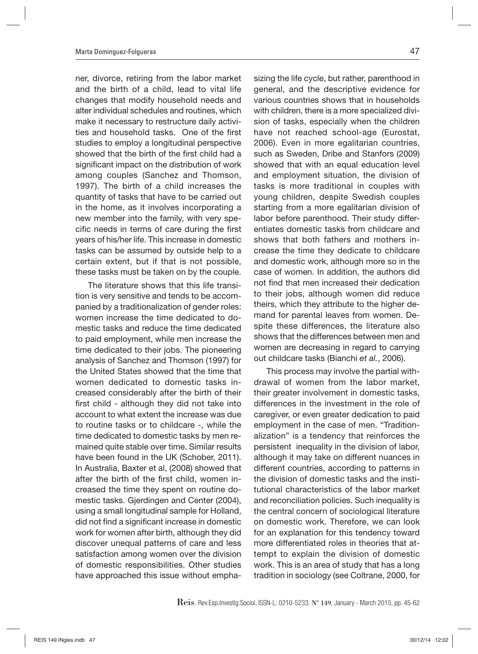ner, divorce, retiring from the labor market and the birth of a child, lead to vital life changes that modify household needs and alter individual schedules and routines, which make it necessary to restructure daily activities and household tasks. One of the first studies to employ a longitudinal perspective showed that the birth of the first child had a significant impact on the distribution of work among couples (Sanchez and Thomson, 1997). The birth of a child increases the quantity of tasks that have to be carried out in the home, as it involves incorporating a new member into the family, with very specific needs in terms of care during the first years of his/her life. This increase in domestic tasks can be assumed by outside help to a certain extent, but if that is not possible, these tasks must be taken on by the couple.

The literature shows that this life transition is very sensitive and tends to be accompanied by a traditionalization of gender roles: women increase the time dedicated to domestic tasks and reduce the time dedicated to paid employment, while men increase the time dedicated to their jobs. The pioneering analysis of Sanchez and Thomson (1997) for the United States showed that the time that women dedicated to domestic tasks increased considerably after the birth of their first child - although they did not take into account to what extent the increase was due to routine tasks or to childcare -, while the time dedicated to domestic tasks by men remained quite stable over time. Similar results have been found in the UK (Schober, 2011). In Australia, Baxter et al, (2008) showed that after the birth of the first child, women increased the time they spent on routine domestic tasks. Gjerdingen and Center (2004), using a small longitudinal sample for Holland, did not find a significant increase in domestic work for women after birth, although they did discover unequal patterns of care and less satisfaction among women over the division of domestic responsibilities. Other studies have approached this issue without emphasizing the life cycle, but rather, parenthood in general, and the descriptive evidence for various countries shows that in households with children, there is a more specialized division of tasks, especially when the children have not reached school-age (Eurostat, 2006). Even in more egalitarian countries, such as Sweden, Dribe and Stanfors (2009) showed that with an equal education level and employment situation, the division of tasks is more traditional in couples with young children, despite Swedish couples starting from a more egalitarian division of labor before parenthood. Their study differentiates domestic tasks from childcare and shows that both fathers and mothers increase the time they dedicate to childcare and domestic work, although more so in the case of women. In addition, the authors did not find that men increased their dedication to their jobs, although women did reduce theirs, which they attribute to the higher demand for parental leaves from women. Despite these differences, the literature also shows that the differences between men and women are decreasing in regard to carrying out childcare tasks (Bianchi et al., 2006).

This process may involve the partial withdrawal of women from the labor market, their greater involvement in domestic tasks, differences in the investment in the role of caregiver, or even greater dedication to paid employment in the case of men. "Traditionalization" is a tendency that reinforces the persistent inequality in the division of labor, although it may take on different nuances in different countries, according to patterns in the division of domestic tasks and the institutional characteristics of the labor market and reconciliation policies. Such inequality is the central concern of sociological literature on domestic work. Therefore, we can look for an explanation for this tendency toward more differentiated roles in theories that attempt to explain the division of domestic work. This is an area of study that has a long tradition in sociology (see Coltrane, 2000, for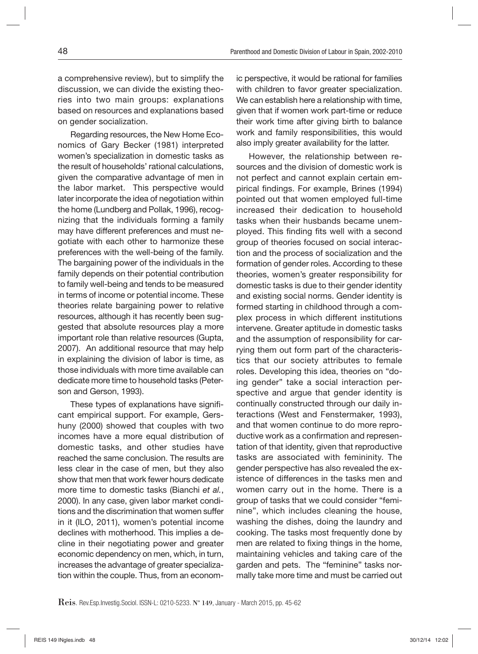a comprehensive review), but to simplify the discussion, we can divide the existing theories into two main groups: explanations based on resources and explanations based on gender socialization.

Regarding resources, the New Home Economics of Gary Becker (1981) interpreted women's specialization in domestic tasks as the result of households' rational calculations, given the comparative advantage of men in the labor market. This perspective would later incorporate the idea of negotiation within the home (Lundberg and Pollak, 1996), recognizing that the individuals forming a family may have different preferences and must negotiate with each other to harmonize these preferences with the well-being of the family. The bargaining power of the individuals in the family depends on their potential contribution to family well-being and tends to be measured in terms of income or potential income. These theories relate bargaining power to relative resources, although it has recently been suggested that absolute resources play a more important role than relative resources (Gupta, 2007). An additional resource that may help in explaining the division of labor is time, as those individuals with more time available can dedicate more time to household tasks (Peterson and Gerson, 1993).

These types of explanations have significant empirical support. For example, Gershuny (2000) showed that couples with two incomes have a more equal distribution of domestic tasks, and other studies have reached the same conclusion. The results are less clear in the case of men, but they also show that men that work fewer hours dedicate more time to domestic tasks (Bianchi et al., 2000). In any case, given labor market conditions and the discrimination that women suffer in it (ILO, 2011), women's potential income declines with motherhood. This implies a decline in their negotiating power and greater economic dependency on men, which, in turn, increases the advantage of greater specialization within the couple. Thus, from an economic perspective, it would be rational for families with children to favor greater specialization. We can establish here a relationship with time, given that if women work part-time or reduce their work time after giving birth to balance work and family responsibilities, this would also imply greater availability for the latter.

However, the relationship between resources and the division of domestic work is not perfect and cannot explain certain empirical findings. For example, Brines (1994) pointed out that women employed full-time increased their dedication to household tasks when their husbands became unemployed. This finding fits well with a second group of theories focused on social interaction and the process of socialization and the formation of gender roles. According to these theories, women's greater responsibility for domestic tasks is due to their gender identity and existing social norms. Gender identity is formed starting in childhood through a complex process in which different institutions intervene. Greater aptitude in domestic tasks and the assumption of responsibility for carrying them out form part of the characteristics that our society attributes to female roles. Developing this idea, theories on "doing gender" take a social interaction perspective and argue that gender identity is continually constructed through our daily interactions (West and Fenstermaker, 1993), and that women continue to do more reproductive work as a confirmation and representation of that identity, given that reproductive tasks are associated with femininity. The gender perspective has also revealed the existence of differences in the tasks men and women carry out in the home. There is a group of tasks that we could consider "feminine", which includes cleaning the house, washing the dishes, doing the laundry and cooking. The tasks most frequently done by men are related to fixing things in the home, maintaining vehicles and taking care of the garden and pets. The "feminine" tasks normally take more time and must be carried out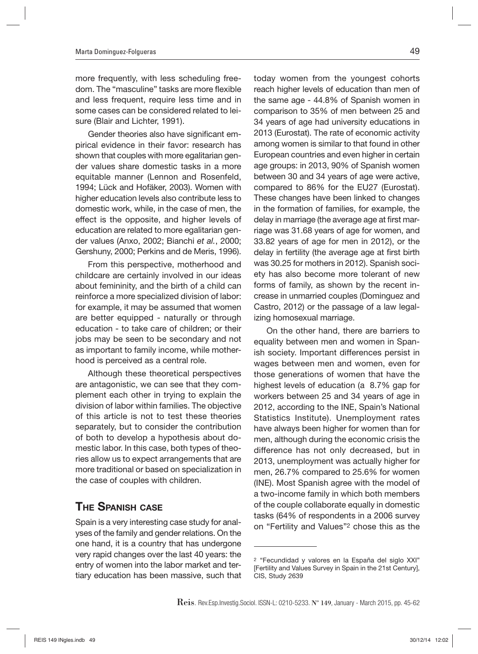more frequently, with less scheduling freedom. The "masculine" tasks are more flexible and less frequent, require less time and in some cases can be considered related to leisure (Blair and Lichter, 1991).

Gender theories also have significant empirical evidence in their favor: research has shown that couples with more egalitarian gender values share domestic tasks in a more equitable manner (Lennon and Rosenfeld, 1994; Lück and Hofäker, 2003). Women with higher education levels also contribute less to domestic work, while, in the case of men, the effect is the opposite, and higher levels of education are related to more egalitarian gender values (Anxo, 2002; Bianchi et al., 2000; Gershuny, 2000; Perkins and de Meris, 1996).

From this perspective, motherhood and childcare are certainly involved in our ideas about femininity, and the birth of a child can reinforce a more specialized division of labor: for example, it may be assumed that women are better equipped - naturally or through education - to take care of children; or their jobs may be seen to be secondary and not as important to family income, while motherhood is perceived as a central role.

Although these theoretical perspectives are antagonistic, we can see that they complement each other in trying to explain the division of labor within families. The objective of this article is not to test these theories separately, but to consider the contribution of both to develop a hypothesis about domestic labor. In this case, both types of theories allow us to expect arrangements that are more traditional or based on specialization in the case of couples with children.

### **THE SPANISH CASE**

Spain is a very interesting case study for analyses of the family and gender relations. On the one hand, it is a country that has undergone very rapid changes over the last 40 years: the entry of women into the labor market and tertiary education has been massive, such that today women from the youngest cohorts reach higher levels of education than men of the same age - 44.8% of Spanish women in comparison to 35% of men between 25 and 34 years of age had university educations in 2013 (Eurostat). The rate of economic activity among women is similar to that found in other European countries and even higher in certain age groups: in 2013, 90% of Spanish women between 30 and 34 years of age were active, compared to 86% for the EU27 (Eurostat). These changes have been linked to changes in the formation of families, for example, the delay in marriage (the average age at first marriage was 31.68 years of age for women, and 33.82 years of age for men in 2012), or the delay in fertility (the average age at first birth was 30.25 for mothers in 2012). Spanish society has also become more tolerant of new forms of family, as shown by the recent increase in unmarried couples (Dominguez and Castro, 2012) or the passage of a law legalizing homosexual marriage.

On the other hand, there are barriers to equality between men and women in Spanish society. Important differences persist in wages between men and women, even for those generations of women that have the highest levels of education (a 8.7% gap for workers between 25 and 34 years of age in 2012, according to the INE, Spain's National Statistics Institute). Unemployment rates have always been higher for women than for men, although during the economic crisis the difference has not only decreased, but in 2013, unemployment was actually higher for men, 26.7% compared to 25.6% for women (INE). Most Spanish agree with the model of a two-income family in which both members of the couple collaborate equally in domestic tasks (64% of respondents in a 2006 survey on "Fertility and Values"2 chose this as the

<sup>2 &</sup>quot;Fecundidad y valores en la España del siglo XXI" [Fertility and Values Survey in Spain in the 21st Century], CIS, Study 2639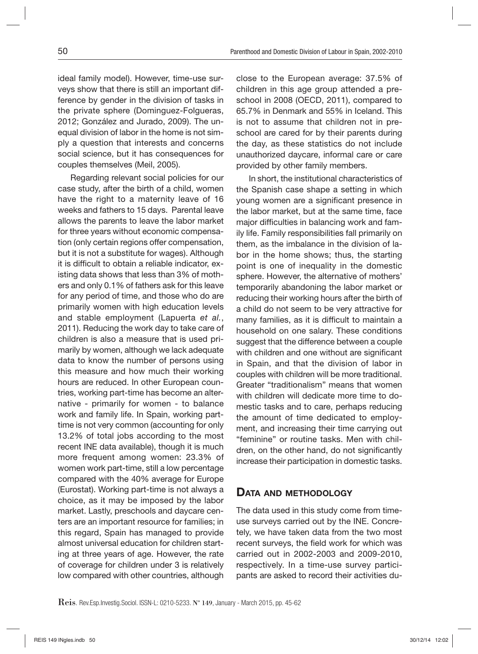ideal family model). However, time-use surveys show that there is still an important difference by gender in the division of tasks in the private sphere (Dominguez-Folgueras, 2012; González and Jurado, 2009). The unequal division of labor in the home is not simply a question that interests and concerns social science, but it has consequences for couples themselves (Meil, 2005).

Regarding relevant social policies for our case study, after the birth of a child, women have the right to a maternity leave of 16 weeks and fathers to 15 days. Parental leave allows the parents to leave the labor market for three years without economic compensation (only certain regions offer compensation, but it is not a substitute for wages). Although it is difficult to obtain a reliable indicator, existing data shows that less than 3% of mothers and only 0.1% of fathers ask for this leave for any period of time, and those who do are primarily women with high education levels and stable employment (Lapuerta et al., 2011). Reducing the work day to take care of children is also a measure that is used primarily by women, although we lack adequate data to know the number of persons using this measure and how much their working hours are reduced. In other European countries, working part-time has become an alternative - primarily for women - to balance work and family life. In Spain, working parttime is not very common (accounting for only 13.2% of total jobs according to the most recent INE data available), though it is much more frequent among women: 23.3% of women work part-time, still a low percentage compared with the 40% average for Europe (Eurostat). Working part-time is not always a choice, as it may be imposed by the labor market. Lastly, preschools and daycare centers are an important resource for families; in this regard, Spain has managed to provide almost universal education for children starting at three years of age. However, the rate of coverage for children under 3 is relatively low compared with other countries, although

close to the European average: 37.5% of children in this age group attended a preschool in 2008 (OECD, 2011), compared to 65.7% in Denmark and 55% in Iceland. This is not to assume that children not in preschool are cared for by their parents during the day, as these statistics do not include unauthorized daycare, informal care or care provided by other family members.

In short, the institutional characteristics of the Spanish case shape a setting in which young women are a significant presence in the labor market, but at the same time, face major difficulties in balancing work and family life. Family responsibilities fall primarily on them, as the imbalance in the division of labor in the home shows; thus, the starting point is one of inequality in the domestic sphere. However, the alternative of mothers' temporarily abandoning the labor market or reducing their working hours after the birth of a child do not seem to be very attractive for many families, as it is difficult to maintain a household on one salary. These conditions suggest that the difference between a couple with children and one without are significant in Spain, and that the division of labor in couples with children will be more traditional. Greater "traditionalism" means that women with children will dedicate more time to domestic tasks and to care, perhaps reducing the amount of time dedicated to employment, and increasing their time carrying out "feminine" or routine tasks. Men with children, on the other hand, do not significantly increase their participation in domestic tasks.

#### **DATA AND METHODOLOGY**

The data used in this study come from timeuse surveys carried out by the INE. Concretely, we have taken data from the two most recent surveys, the field work for which was carried out in 2002-2003 and 2009-2010, respectively. In a time-use survey participants are asked to record their activities du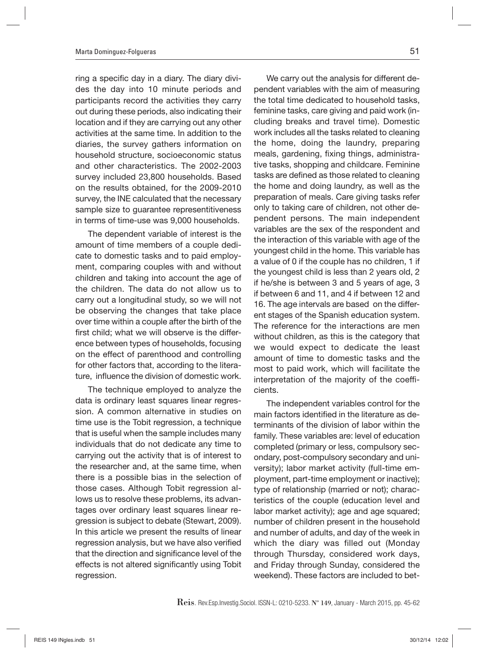ring a specific day in a diary. The diary divides the day into 10 minute periods and participants record the activities they carry out during these periods, also indicating their location and if they are carrying out any other activities at the same time. In addition to the diaries, the survey gathers information on household structure, socioeconomic status and other characteristics. The 2002-2003 survey included 23,800 households. Based on the results obtained, for the 2009-2010 survey, the INE calculated that the necessary sample size to guarantee representitiveness in terms of time-use was 9,000 households.

The dependent variable of interest is the amount of time members of a couple dedicate to domestic tasks and to paid employment, comparing couples with and without children and taking into account the age of the children. The data do not allow us to carry out a longitudinal study, so we will not be observing the changes that take place over time within a couple after the birth of the first child; what we will observe is the difference between types of households, focusing on the effect of parenthood and controlling for other factors that, according to the literature, influence the division of domestic work.

The technique employed to analyze the data is ordinary least squares linear regression. A common alternative in studies on time use is the Tobit regression, a technique that is useful when the sample includes many individuals that do not dedicate any time to carrying out the activity that is of interest to the researcher and, at the same time, when there is a possible bias in the selection of those cases. Although Tobit regression allows us to resolve these problems, its advantages over ordinary least squares linear regression is subject to debate (Stewart, 2009). In this article we present the results of linear regression analysis, but we have also verified that the direction and significance level of the effects is not altered significantly using Tobit regression.

We carry out the analysis for different dependent variables with the aim of measuring the total time dedicated to household tasks, feminine tasks, care giving and paid work (including breaks and travel time). Domestic work includes all the tasks related to cleaning the home, doing the laundry, preparing meals, gardening, fixing things, administrative tasks, shopping and childcare. Feminine tasks are defined as those related to cleaning the home and doing laundry, as well as the preparation of meals. Care giving tasks refer only to taking care of children, not other dependent persons. The main independent variables are the sex of the respondent and the interaction of this variable with age of the youngest child in the home. This variable has a value of 0 if the couple has no children, 1 if the youngest child is less than 2 years old, 2 if he/she is between 3 and 5 years of age, 3 if between 6 and 11, and 4 if between 12 and 16. The age intervals are based on the different stages of the Spanish education system. The reference for the interactions are men without children, as this is the category that we would expect to dedicate the least amount of time to domestic tasks and the most to paid work, which will facilitate the interpretation of the majority of the coefficients.

The independent variables control for the main factors identified in the literature as determinants of the division of labor within the family. These variables are: level of education completed (primary or less, compulsory secondary, post-compulsory secondary and university); labor market activity (full-time employment, part-time employment or inactive); type of relationship (married or not); characteristics of the couple (education level and labor market activity); age and age squared; number of children present in the household and number of adults, and day of the week in which the diary was filled out (Monday through Thursday, considered work days, and Friday through Sunday, considered the weekend). These factors are included to bet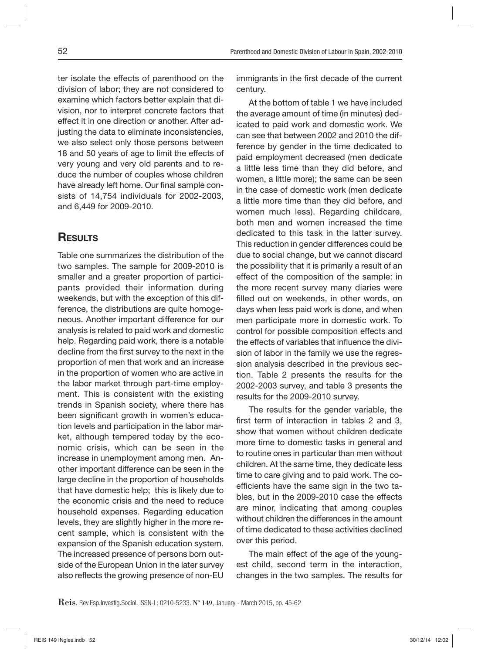ter isolate the effects of parenthood on the division of labor; they are not considered to examine which factors better explain that division, nor to interpret concrete factors that effect it in one direction or another. After adjusting the data to eliminate inconsistencies, we also select only those persons between 18 and 50 years of age to limit the effects of very young and very old parents and to reduce the number of couples whose children have already left home. Our final sample consists of 14,754 individuals for 2002-2003, and 6,449 for 2009-2010.

# **RESULTS**

Table one summarizes the distribution of the two samples. The sample for 2009-2010 is smaller and a greater proportion of participants provided their information during weekends, but with the exception of this difference, the distributions are quite homogeneous. Another important difference for our analysis is related to paid work and domestic help. Regarding paid work, there is a notable decline from the first survey to the next in the proportion of men that work and an increase in the proportion of women who are active in the labor market through part-time employment. This is consistent with the existing trends in Spanish society, where there has been significant growth in women's education levels and participation in the labor market, although tempered today by the economic crisis, which can be seen in the increase in unemployment among men. Another important difference can be seen in the large decline in the proportion of households that have domestic help; this is likely due to the economic crisis and the need to reduce household expenses. Regarding education levels, they are slightly higher in the more recent sample, which is consistent with the expansion of the Spanish education system. The increased presence of persons born outside of the European Union in the later survey also reflects the growing presence of non-EU immigrants in the first decade of the current century.

At the bottom of table 1 we have included the average amount of time (in minutes) dedicated to paid work and domestic work. We can see that between 2002 and 2010 the difference by gender in the time dedicated to paid employment decreased (men dedicate a little less time than they did before, and women, a little more); the same can be seen in the case of domestic work (men dedicate a little more time than they did before, and women much less). Regarding childcare, both men and women increased the time dedicated to this task in the latter survey. This reduction in gender differences could be due to social change, but we cannot discard the possibility that it is primarily a result of an effect of the composition of the sample: in the more recent survey many diaries were filled out on weekends, in other words, on days when less paid work is done, and when men participate more in domestic work. To control for possible composition effects and the effects of variables that influence the division of labor in the family we use the regression analysis described in the previous section. Table 2 presents the results for the 2002-2003 survey, and table 3 presents the results for the 2009-2010 survey.

The results for the gender variable, the first term of interaction in tables 2 and 3. show that women without children dedicate more time to domestic tasks in general and to routine ones in particular than men without children. At the same time, they dedicate less time to care giving and to paid work. The coefficients have the same sign in the two tables, but in the 2009-2010 case the effects are minor, indicating that among couples without children the differences in the amount of time dedicated to these activities declined over this period.

The main effect of the age of the youngest child, second term in the interaction, changes in the two samples. The results for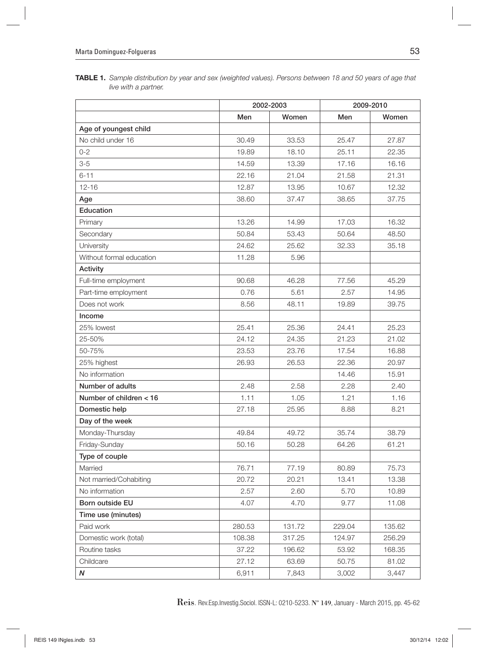**TABLE 1.** Sample distribution by year and sex (weighted values). Persons between 18 and 50 years of age that live with a partner.

|                          |        | 2002-2003 |        | 2009-2010 |
|--------------------------|--------|-----------|--------|-----------|
|                          | Men    | Women     | Men    | Women     |
| Age of youngest child    |        |           |        |           |
| No child under 16        | 30.49  | 33.53     | 25.47  | 27.87     |
| $0 - 2$                  | 19.89  | 18.10     | 25.11  | 22.35     |
| $3-5$                    | 14.59  | 13.39     | 17.16  | 16.16     |
| $6 - 11$                 | 22.16  | 21.04     | 21.58  | 21.31     |
| $12 - 16$                | 12.87  | 13.95     | 10.67  | 12.32     |
| Age                      | 38.60  | 37.47     | 38.65  | 37.75     |
| Education                |        |           |        |           |
| Primary                  | 13.26  | 14.99     | 17.03  | 16.32     |
| Secondary                | 50.84  | 53.43     | 50.64  | 48.50     |
| University               | 24.62  | 25.62     | 32.33  | 35.18     |
| Without formal education | 11.28  | 5.96      |        |           |
| Activity                 |        |           |        |           |
| Full-time employment     | 90.68  | 46.28     | 77.56  | 45.29     |
| Part-time employment     | 0.76   | 5.61      | 2.57   | 14.95     |
| Does not work            | 8.56   | 48.11     | 19.89  | 39.75     |
| Income                   |        |           |        |           |
| 25% lowest               | 25.41  | 25.36     | 24.41  | 25.23     |
| 25-50%                   | 24.12  | 24.35     | 21.23  | 21.02     |
| 50-75%                   | 23.53  | 23.76     | 17.54  | 16.88     |
| 25% highest              | 26.93  | 26.53     | 22.36  | 20.97     |
| No information           |        |           | 14.46  | 15.91     |
| Number of adults         | 2.48   | 2.58      | 2.28   | 2.40      |
| Number of children < 16  | 1.11   | 1.05      | 1.21   | 1.16      |
| Domestic help            | 27.18  | 25.95     | 8.88   | 8.21      |
| Day of the week          |        |           |        |           |
| Monday-Thursday          | 49.84  | 49.72     | 35.74  | 38.79     |
| Friday-Sunday            | 50.16  | 50.28     | 64.26  | 61.21     |
| Type of couple           |        |           |        |           |
| Married                  | 76.71  | 77.19     | 80.89  | 75.73     |
| Not married/Cohabiting   | 20.72  | 20.21     | 13.41  | 13.38     |
| No information           | 2.57   | 2.60      | 5.70   | 10.89     |
| Born outside EU          | 4.07   | 4.70      | 9.77   | 11.08     |
| Time use (minutes)       |        |           |        |           |
| Paid work                | 280.53 | 131.72    | 229.04 | 135.62    |
| Domestic work (total)    | 108.38 | 317.25    | 124.97 | 256.29    |
| Routine tasks            | 37.22  | 196.62    | 53.92  | 168.35    |
| Childcare                | 27.12  | 63.69     | 50.75  | 81.02     |
| Ν                        | 6,911  | 7,843     | 3,002  | 3,447     |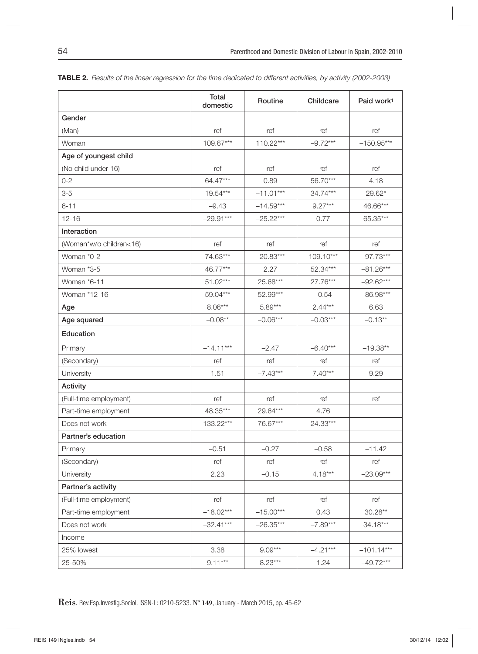|                         | Total<br>domestic | Routine     | Childcare   | Paid work <sup>1</sup> |
|-------------------------|-------------------|-------------|-------------|------------------------|
| Gender                  |                   |             |             |                        |
| (Man)                   | ref               | ref         | ref         | ref                    |
| Woman                   | 109.67***         | 110.22***   | $-9.72***$  | $-150.95***$           |
| Age of youngest child   |                   |             |             |                        |
| (No child under 16)     | ref               | ref         | ref         | ref                    |
| $0 - 2$                 | 64.47***          | 0.89        | 56.70***    | 4.18                   |
| $3-5$                   | 19.54***          | $-11.01***$ | 34.74***    | 29.62*                 |
| $6 - 11$                | $-9.43$           | $-14.59***$ | $9.27***$   | 46.66***               |
| $12 - 16$               | $-29.91***$       | $-25.22***$ | 0.77        | 65.35***               |
| Interaction             |                   |             |             |                        |
| (Woman*w/o children<16) | ref               | ref         | ref         | ref                    |
| Woman *0-2              | 74.63***          | $-20.83***$ | $109.10***$ | $-97.73***$            |
| Woman *3-5              | 46.77***          | 2.27        | 52.34***    | $-81.26***$            |
| Woman *6-11             | $51.02***$        | $25.68***$  | 27.76***    | $-92.62***$            |
| Woman *12-16            | 59.04***          | 52.99***    | $-0.54$     | $-86.98***$            |
| Age                     | $8.06***$         | $5.89***$   | $2.44***$   | 6.63                   |
| Age squared             | $-0.08**$         | $-0.06***$  | $-0.03***$  | $-0.13**$              |
| Education               |                   |             |             |                        |
| Primary                 | $-14.11***$       | -2.47       | $-6.40***$  | $-19.38**$             |
| (Secondary)             | ref               | ref         | ref         | ref                    |
| University              | 1.51              | $-7.43***$  | $7.40***$   | 9.29                   |
| Activity                |                   |             |             |                        |
| (Full-time employment)  | ref               | ref         | ref         | ref                    |
| Part-time employment    | 48.35***          | 29.64***    | 4.76        |                        |
| Does not work           | 133.22***         | 76.67***    | 24.33***    |                        |
| Partner's education     |                   |             |             |                        |
| Primary                 | $-0.51$           | $-0.27$     | $-0.58$     | $-11.42$               |
| (Secondary)             | ref               | ref         | ref         | ref                    |
| University              | 2.23              | $-0.15$     | $4.18***$   | $-23.09***$            |
| Partner's activity      |                   |             |             |                        |
| (Full-time employment)  | ref               | ref         | ref         | ref                    |
| Part-time employment    | $-18.02***$       | $-15.00***$ | 0.43        | $30.28**$              |
| Does not work           | $-32.41***$       | $-26.35***$ | $-7.89***$  | 34.18***               |
| Income                  |                   |             |             |                        |
| 25% lowest              | 3.38              | $9.09***$   | $-4.21***$  | $-101.14***$           |
| 25-50%                  | $9.11***$         | $8.23***$   | 1.24        | $-49.72***$            |

|  | TABLE 2. Results of the linear regression for the time dedicated to different activities, by activity (2002-2003) |  |  |  |  |  |  |  |  |  |
|--|-------------------------------------------------------------------------------------------------------------------|--|--|--|--|--|--|--|--|--|
|--|-------------------------------------------------------------------------------------------------------------------|--|--|--|--|--|--|--|--|--|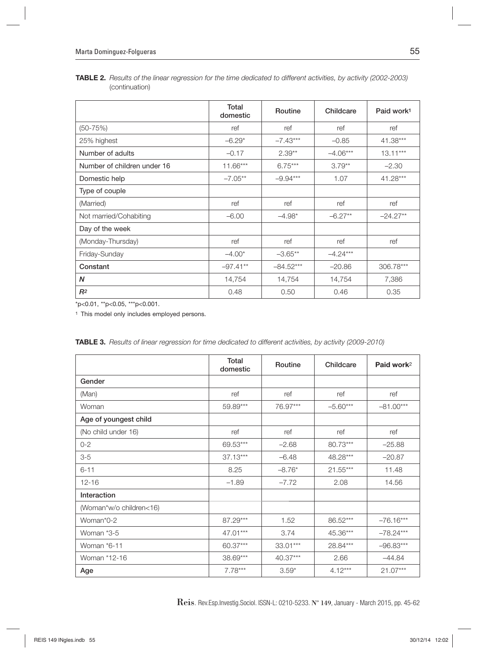| <b>TABLE 2.</b> Results of the linear regression for the time dedicated to different activities, by activity (2002-2003) |  |  |
|--------------------------------------------------------------------------------------------------------------------------|--|--|
| (continuation)                                                                                                           |  |  |

|                             | Total<br>domestic | Routine     | Childcare  | Paid work <sup>1</sup> |
|-----------------------------|-------------------|-------------|------------|------------------------|
| $(50 - 75%)$                | ref               | ref         | ref        | ref                    |
| 25% highest                 | $-6.29*$          | $-7.43***$  | $-0.85$    | 41.38***               |
| Number of adults            | $-0.17$           | $2.39**$    | $-4.06***$ | $13.11***$             |
| Number of children under 16 | $11.66***$        | $6.75***$   | $3.79**$   | $-2.30$                |
| Domestic help               | $-7.05**$         | $-9.94***$  | 1.07       | 41.28***               |
| Type of couple              |                   |             |            |                        |
| (Married)                   | ref               | ref         | ref        | ref                    |
| Not married/Cohabiting      | $-6.00$           | $-4.98*$    | $-6.27**$  | $-24.27**$             |
| Day of the week             |                   |             |            |                        |
| (Monday-Thursday)           | ref               | ref         | ref        | ref                    |
| Friday-Sunday               | $-4.00*$          | $-3.65**$   | $-4.24***$ |                        |
| Constant                    | $-97.41**$        | $-84.52***$ | $-20.86$   | 306.78***              |
| N                           | 14,754            | 14,754      | 14,754     | 7,386                  |
| R <sup>2</sup>              | 0.48              | 0.50        | 0.46       | 0.35                   |

\*p<0.01, \*\*p<0.05, \*\*\*p<0.001.

1 This model only includes employed persons.

|                         | Total<br>domestic | Routine    | Childcare  | Paid work <sup>2</sup> |
|-------------------------|-------------------|------------|------------|------------------------|
| Gender                  |                   |            |            |                        |
| (Man)                   | ref               | ref        | ref        | ref                    |
| Woman                   | 59.89***          | 76.97***   | $-5.60***$ | $-81.00***$            |
| Age of youngest child   |                   |            |            |                        |
| (No child under 16)     | ref               | ref        | ref        | ref                    |
| $0 - 2$                 | 69.53***          | $-2.68$    | 80.73***   | $-25.88$               |
| $3-5$                   | $37.13***$        | $-6.48$    | 48.28***   | $-20.87$               |
| $6 - 11$                | 8.25              | $-8.76*$   | $21.55***$ | 11.48                  |
| $12 - 16$               | $-1.89$           | $-7.72$    | 2.08       | 14.56                  |
| Interaction             |                   |            |            |                        |
| (Woman*w/o children<16) |                   |            |            |                        |
| Woman*0-2               | 87.29***          | 1.52       | 86.52***   | $-76.16***$            |
| Woman *3-5              | 47.01***          | 3.74       | 45.36***   | $-78.24***$            |
| Woman *6-11             | 60.37***          | $33.01***$ | 28.84***   | $-96.83***$            |
| Woman *12-16            | 38.69***          | $40.37***$ | 2.66       | $-44.84$               |
| Age                     | $7.78***$         | $3.59*$    | $4.12***$  | $21.07***$             |

|  |  |  |  |  | TABLE 3. Results of linear regression for time dedicated to different activities, by activity (2009-2010) |  |  |  |  |  |
|--|--|--|--|--|-----------------------------------------------------------------------------------------------------------|--|--|--|--|--|
|--|--|--|--|--|-----------------------------------------------------------------------------------------------------------|--|--|--|--|--|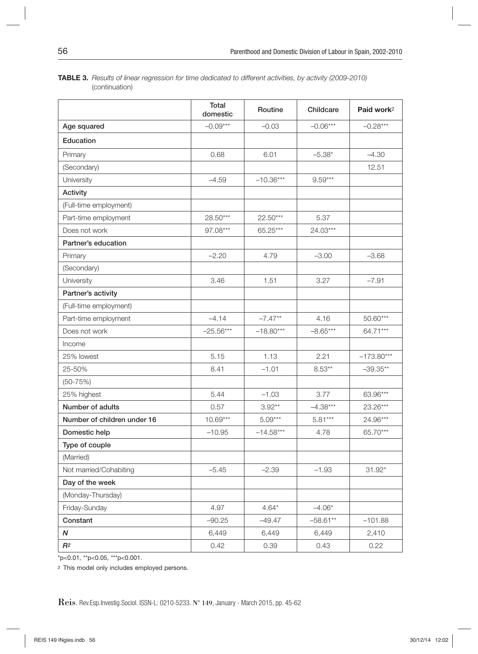|                |  |  |  | <b>TABLE 3.</b> Results of linear regression for time dedicated to different activities, by activity (2009-2010) |
|----------------|--|--|--|------------------------------------------------------------------------------------------------------------------|
| (continuation) |  |  |  |                                                                                                                  |

|                             | Total<br>domestic | Routine     | Childcare  | Paid work <sup>2</sup> |
|-----------------------------|-------------------|-------------|------------|------------------------|
| Age squared                 | $-0.09***$        | $-0.03$     | $-0.06***$ | $-0.28***$             |
| Education                   |                   |             |            |                        |
| Primary                     | 0.68              | 6.01        | $-5.38*$   | $-4.30$                |
| (Secondary)                 |                   |             |            | 12.51                  |
| University                  | $-4.59$           | $-10.36***$ | $9.59***$  |                        |
| Activity                    |                   |             |            |                        |
| (Full-time employment)      |                   |             |            |                        |
| Part-time employment        | 28.50***          | 22.50***    | 5.37       |                        |
| Does not work               | 97.08***          | 65.25***    | 24.03***   |                        |
| Partner's education         |                   |             |            |                        |
| Primary                     | $-2.20$           | 4.79        | $-3.00$    | $-3.68$                |
| (Secondary)                 |                   |             |            |                        |
| University                  | 3.46              | 1.51        | 3.27       | $-7.91$                |
| Partner's activity          |                   |             |            |                        |
| (Full-time employment)      |                   |             |            |                        |
| Part-time employment        | $-4.14$           | $-7.47**$   | 4.16       | $50.60***$             |
| Does not work               | $-25.56***$       | $-18.80***$ | $-8.65***$ | 64.71***               |
| Income                      |                   |             |            |                        |
| 25% lowest                  | 5.15              | 1.13        | 2.21       | $-173.80***$           |
| 25-50%                      | 8.41              | $-1.01$     | $8.53**$   | $-39.35**$             |
| $(50 - 75%)$                |                   |             |            |                        |
| 25% highest                 | 5.44              | $-1.03$     | 3.77       | $63.96***$             |
| Number of adults            | 0.57              | $3.92**$    | $-4.38***$ | 23.26***               |
| Number of children under 16 | $10.69***$        | $5.09***$   | $5.81***$  | 24.96***               |
| Domestic help               | $-10.95$          | $-14.58***$ | 4.78       | 65.70***               |
| Type of couple              |                   |             |            |                        |
| (Married)                   |                   |             |            |                        |
| Not married/Cohabiting      | $-5.45$           | $-2.39$     | $-1.93$    | $31.92*$               |
| Day of the week             |                   |             |            |                        |
| (Monday-Thursday)           |                   |             |            |                        |
| Friday-Sunday               | 4.97              | $4.64*$     | $-4.06*$   |                        |
| Constant                    | $-90.25$          | $-49.47$    | $-58.61**$ | $-101.88$              |
| N                           | 6,449             | 6,449       | 6,449      | 2,410                  |
| R <sup>2</sup>              | 0.42              | 0.39        | 0.43       | 0.22                   |

\*p<0.01, \*\*p<0.05, \*\*\*p<0.001.

2 This model only includes employed persons.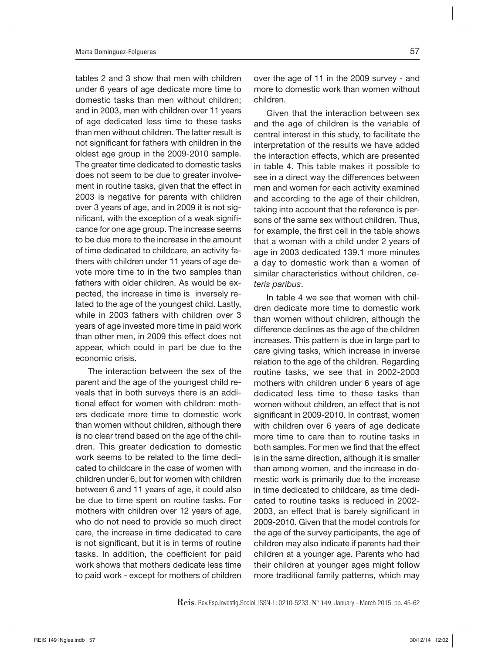tables 2 and 3 show that men with children under 6 years of age dedicate more time to domestic tasks than men without children; and in 2003, men with children over 11 years of age dedicated less time to these tasks than men without children. The latter result is not significant for fathers with children in the oldest age group in the 2009-2010 sample. The greater time dedicated to domestic tasks does not seem to be due to greater involvement in routine tasks, given that the effect in 2003 is negative for parents with children over 3 years of age, and in 2009 it is not significant, with the exception of a weak significance for one age group. The increase seems to be due more to the increase in the amount of time dedicated to childcare, an activity fathers with children under 11 years of age devote more time to in the two samples than fathers with older children. As would be expected, the increase in time is inversely related to the age of the youngest child. Lastly, while in 2003 fathers with children over 3 years of age invested more time in paid work than other men, in 2009 this effect does not appear, which could in part be due to the economic crisis.

The interaction between the sex of the parent and the age of the youngest child reveals that in both surveys there is an additional effect for women with children: mothers dedicate more time to domestic work than women without children, although there is no clear trend based on the age of the children. This greater dedication to domestic work seems to be related to the time dedicated to childcare in the case of women with children under 6, but for women with children between 6 and 11 years of age, it could also be due to time spent on routine tasks. For mothers with children over 12 years of age, who do not need to provide so much direct care, the increase in time dedicated to care is not significant, but it is in terms of routine tasks. In addition, the coefficient for paid work shows that mothers dedicate less time to paid work - except for mothers of children

over the age of 11 in the 2009 survey - and more to domestic work than women without children.

Given that the interaction between sex and the age of children is the variable of central interest in this study, to facilitate the interpretation of the results we have added the interaction effects, which are presented in table 4. This table makes it possible to see in a direct way the differences between men and women for each activity examined and according to the age of their children, taking into account that the reference is persons of the same sex without children. Thus, for example, the first cell in the table shows that a woman with a child under 2 years of age in 2003 dedicated 139.1 more minutes a day to domestic work than a woman of similar characteristics without children, ceteris paribus.

In table 4 we see that women with children dedicate more time to domestic work than women without children, although the difference declines as the age of the children increases. This pattern is due in large part to care giving tasks, which increase in inverse relation to the age of the children. Regarding routine tasks, we see that in 2002-2003 mothers with children under 6 years of age dedicated less time to these tasks than women without children, an effect that is not significant in 2009-2010. In contrast, women with children over 6 years of age dedicate more time to care than to routine tasks in both samples. For men we find that the effect is in the same direction, although it is smaller than among women, and the increase in domestic work is primarily due to the increase in time dedicated to childcare, as time dedicated to routine tasks is reduced in 2002- 2003, an effect that is barely significant in 2009-2010. Given that the model controls for the age of the survey participants, the age of children may also indicate if parents had their children at a younger age. Parents who had their children at younger ages might follow more traditional family patterns, which may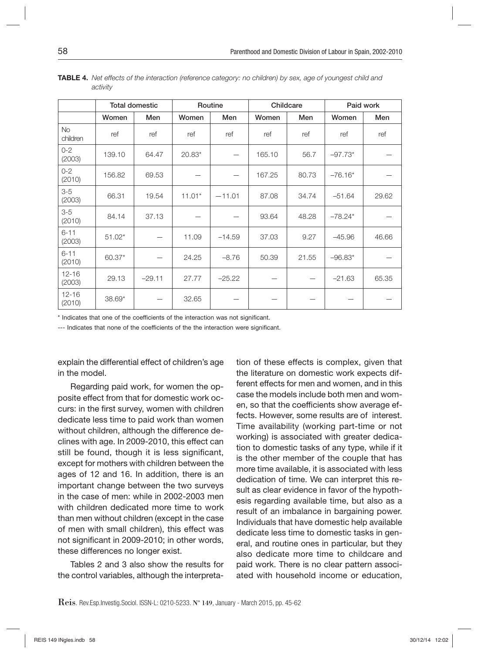|                       |          | <b>Total domestic</b> |          | Routine  | Childcare |       | Paid work |       |
|-----------------------|----------|-----------------------|----------|----------|-----------|-------|-----------|-------|
|                       | Women    | Men                   | Women    | Men      | Women     | Men   | Women     | Men   |
| <b>No</b><br>children | ref      | ref                   | ref      | ref      | ref       | ref   | ref       | ref   |
| $0 - 2$<br>(2003)     | 139.10   | 64.47                 | $20.83*$ |          | 165.10    | 56.7  | $-97.73*$ |       |
| $0 - 2$<br>(2010)     | 156.82   | 69.53                 |          |          | 167.25    | 80.73 | $-76.16*$ |       |
| $3 - 5$<br>(2003)     | 66.31    | 19.54                 | $11.01*$ | $-11.01$ | 87.08     | 34.74 | $-51.64$  | 29.62 |
| $3 - 5$<br>(2010)     | 84.14    | 37.13                 |          |          | 93.64     | 48.28 | $-78.24*$ |       |
| $6 - 11$<br>(2003)    | $51.02*$ |                       | 11.09    | $-14.59$ | 37.03     | 9.27  | $-45.96$  | 46.66 |
| $6 - 11$<br>(2010)    | 60.37*   |                       | 24.25    | $-8.76$  | 50.39     | 21.55 | $-96.83*$ |       |
| $12 - 16$<br>(2003)   | 29.13    | $-29.11$              | 27.77    | $-25.22$ |           | —     | $-21.63$  | 65.35 |
| $12 - 16$<br>(2010)   | $38.69*$ |                       | 32.65    |          |           |       |           |       |

**TABLE 4.** Net effects of the interaction (reference category: no children) by sex, age of youngest child and activity

\* Indicates that one of the coefficients of the interaction was not significant.

--- Indicates that none of the coefficients of the the interaction were significant.

explain the differential effect of children's age in the model.

Regarding paid work, for women the opposite effect from that for domestic work occurs: in the first survey, women with children dedicate less time to paid work than women without children, although the difference declines with age. In 2009-2010, this effect can still be found, though it is less significant, except for mothers with children between the ages of 12 and 16. In addition, there is an important change between the two surveys in the case of men: while in 2002-2003 men with children dedicated more time to work than men without children (except in the case of men with small children), this effect was not significant in 2009-2010; in other words, these differences no longer exist.

Tables 2 and 3 also show the results for the control variables, although the interpretation of these effects is complex, given that the literature on domestic work expects different effects for men and women, and in this case the models include both men and women, so that the coefficients show average effects. However, some results are of interest. Time availability (working part-time or not working) is associated with greater dedication to domestic tasks of any type, while if it is the other member of the couple that has more time available, it is associated with less dedication of time. We can interpret this result as clear evidence in favor of the hypothesis regarding available time, but also as a result of an imbalance in bargaining power. Individuals that have domestic help available dedicate less time to domestic tasks in general, and routine ones in particular, but they also dedicate more time to childcare and paid work. There is no clear pattern associated with household income or education,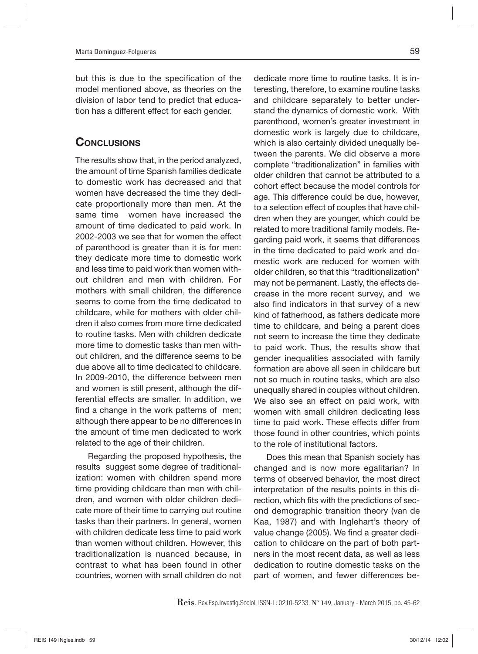but this is due to the specification of the model mentioned above, as theories on the division of labor tend to predict that education has a different effect for each gender.

# **CONCLUSIONS**

The results show that, in the period analyzed, the amount of time Spanish families dedicate to domestic work has decreased and that women have decreased the time they dedicate proportionally more than men. At the same time women have increased the amount of time dedicated to paid work. In 2002-2003 we see that for women the effect of parenthood is greater than it is for men: they dedicate more time to domestic work and less time to paid work than women without children and men with children. For mothers with small children, the difference seems to come from the time dedicated to childcare, while for mothers with older children it also comes from more time dedicated to routine tasks. Men with children dedicate more time to domestic tasks than men without children, and the difference seems to be due above all to time dedicated to childcare. In 2009-2010, the difference between men and women is still present, although the differential effects are smaller. In addition, we find a change in the work patterns of men; although there appear to be no differences in the amount of time men dedicated to work related to the age of their children.

Regarding the proposed hypothesis, the results suggest some degree of traditionalization: women with children spend more time providing childcare than men with children, and women with older children dedicate more of their time to carrying out routine tasks than their partners. In general, women with children dedicate less time to paid work than women without children. However, this traditionalization is nuanced because, in contrast to what has been found in other countries, women with small children do not

dedicate more time to routine tasks. It is interesting, therefore, to examine routine tasks and childcare separately to better understand the dynamics of domestic work. With parenthood, women's greater investment in domestic work is largely due to childcare, which is also certainly divided unequally between the parents. We did observe a more complete "traditionalization" in families with older children that cannot be attributed to a cohort effect because the model controls for age. This difference could be due, however, to a selection effect of couples that have children when they are younger, which could be related to more traditional family models. Regarding paid work, it seems that differences in the time dedicated to paid work and domestic work are reduced for women with older children, so that this "traditionalization" may not be permanent. Lastly, the effects decrease in the more recent survey, and we also find indicators in that survey of a new kind of fatherhood, as fathers dedicate more time to childcare, and being a parent does not seem to increase the time they dedicate to paid work. Thus, the results show that gender inequalities associated with family formation are above all seen in childcare but not so much in routine tasks, which are also unequally shared in couples without children. We also see an effect on paid work, with women with small children dedicating less time to paid work. These effects differ from those found in other countries, which points to the role of institutional factors.

Does this mean that Spanish society has changed and is now more egalitarian? In terms of observed behavior, the most direct interpretation of the results points in this direction, which fits with the predictions of second demographic transition theory (van de Kaa, 1987) and with Inglehart's theory of value change (2005). We find a greater dedication to childcare on the part of both partners in the most recent data, as well as less dedication to routine domestic tasks on the part of women, and fewer differences be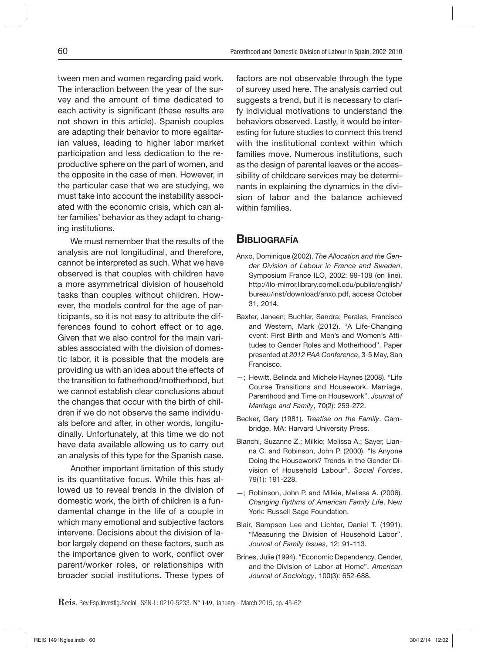tween men and women regarding paid work. The interaction between the year of the survey and the amount of time dedicated to each activity is significant (these results are not shown in this article). Spanish couples are adapting their behavior to more egalitarian values, leading to higher labor market participation and less dedication to the reproductive sphere on the part of women, and the opposite in the case of men. However, in the particular case that we are studying, we must take into account the instability associated with the economic crisis, which can alter families' behavior as they adapt to changing institutions.

We must remember that the results of the analysis are not longitudinal, and therefore, cannot be interpreted as such. What we have observed is that couples with children have a more asymmetrical division of household tasks than couples without children. However, the models control for the age of participants, so it is not easy to attribute the differences found to cohort effect or to age. Given that we also control for the main variables associated with the division of domestic labor, it is possible that the models are providing us with an idea about the effects of the transition to fatherhood/motherhood, but we cannot establish clear conclusions about the changes that occur with the birth of children if we do not observe the same individuals before and after, in other words, longitudinally. Unfortunately, at this time we do not have data available allowing us to carry out an analysis of this type for the Spanish case.

Another important limitation of this study is its quantitative focus. While this has allowed us to reveal trends in the division of domestic work, the birth of children is a fundamental change in the life of a couple in which many emotional and subjective factors intervene. Decisions about the division of labor largely depend on these factors, such as the importance given to work, conflict over parent/worker roles, or relationships with broader social institutions. These types of

factors are not observable through the type of survey used here. The analysis carried out suggests a trend, but it is necessary to clarify individual motivations to understand the behaviors observed. Lastly, it would be interesting for future studies to connect this trend with the institutional context within which families move. Numerous institutions, such as the design of parental leaves or the accessibility of childcare services may be determinants in explaining the dynamics in the division of labor and the balance achieved within families.

#### **BIBLIOGRAFÍA**

- Anxo, Dominique (2002). The Allocation and the Gender Division of Labour in France and Sweden. Symposium France ILO, 2002: 99-108 (on line). http://ilo-mirror.library.cornell.edu/public/english/ bureau/inst/download/anxo.pdf, access October 31, 2014.
- Baxter, Janeen; Buchler, Sandra; Perales, Francisco and Western, Mark (2012). "A Life-Changing event: First Birth and Men's and Women's Attitudes to Gender Roles and Motherhood". Paper presented at 2012 PAA Conference, 3-5 May, San Francisco.
- —; Hewitt, Belinda and Michele Haynes (2008). "Life Course Transitions and Housework. Marriage, Parenthood and Time on Housework". Journal of Marriage and Family, 70(2): 259-272.
- Becker, Gary (1981). Treatise on the Family. Cambridge, MA: Harvard University Press.
- Bianchi, Suzanne Z.; Milkie; Melissa A.; Sayer, Lianna C. and Robinson, John P. (2000). "Is Anyone Doing the Housework? Trends in the Gender Division of Household Labour". Social Forces, 79(1): 191-228.
- —; Robinson, John P. and Milkie, Melissa A. (2006). Changing Rythms of American Family Life. New York: Russell Sage Foundation.
- Blair, Sampson Lee and Lichter, Daniel T. (1991). "Measuring the Division of Household Labor". Journal of Family Issues, 12: 91-113.
- Brines, Julie (1994). "Economic Dependency, Gender, and the Division of Labor at Home". American Journal of Sociology, 100(3): 652-688.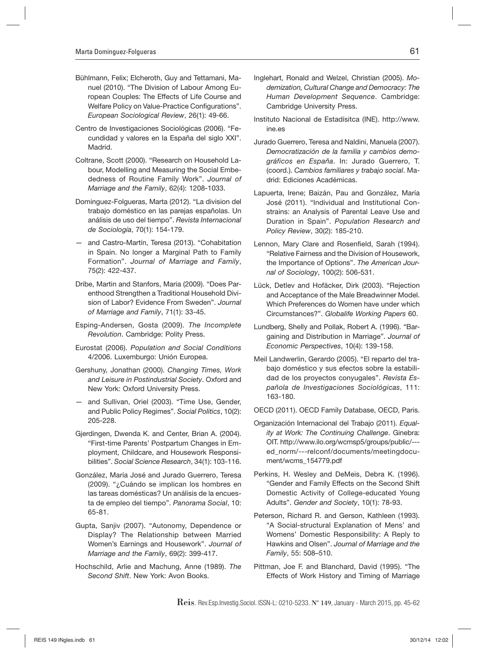- Bühlmann, Felix; Elcheroth, Guy and Tettamani, Manuel (2010). "The Division of Labour Among European Couples: The Effects of Life Course and Welfare Policy on Value-Practice Configurations". European Sociological Review, 26(1): 49-66.
- Centro de Investigaciones Sociológicas (2006). "Fecundidad y valores en la España del siglo XXI". Madrid.
- Coltrane, Scott (2000). "Research on Household Labour, Modelling and Measuring the Social Embededness of Routine Family Work". Journal of Marriage and the Family, 62(4): 1208-1033.
- Dominguez-Folgueras, Marta (2012). "La division del trabajo doméstico en las parejas españolas. Un análisis de uso del tiempo". Revista Internacional de Sociología, 70(1): 154-179.
- and Castro-Martín, Teresa (2013). "Cohabitation in Spain. No longer a Marginal Path to Family Formation". Journal of Marriage and Family, 75(2): 422-437.
- Dribe, Martin and Stanfors, Maria (2009). "Does Parenthood Strengthen a Traditional Household Division of Labor? Evidence From Sweden". Journal of Marriage and Family, 71(1): 33-45.
- Esping-Andersen, Gosta (2009). The Incomplete Revolution. Cambridge: Polity Press.
- Eurostat (2006). Population and Social Conditions 4/2006. Luxemburgo: Unión Europea.
- Gershuny, Jonathan (2000). Changing Times, Work and Leisure in Postindustrial Society. Oxford and New York: Oxford University Press.
- and Sullivan, Oriel (2003). "Time Use, Gender, and Public Policy Regimes". Social Politics, 10(2): 205-228.
- Gjerdingen, Dwenda K. and Center, Brian A. (2004). "First-time Parents' Postpartum Changes in Employment, Childcare, and Housework Responsibilities". Social Science Research, 34(1): 103-116.
- González, María José and Jurado Guerrero, Teresa (2009). "¿Cuándo se implican los hombres en las tareas domésticas? Un análisis de la encuesta de empleo del tiempo". Panorama Social, 10: 65-81.
- Gupta, Sanjiv (2007). "Autonomy, Dependence or Display? The Relationship between Married Women's Earnings and Housework". Journal of Marriage and the Family, 69(2): 399-417.
- Hochschild, Arlie and Machung, Anne (1989). The Second Shift. New York: Avon Books.
- Inglehart, Ronald and Welzel, Christian (2005). Modernization, Cultural Change and Democracy: The Human Development Sequence. Cambridge: Cambridge University Press.
- Instituto Nacional de Estadísitca (INE). http://www. ine.es
- Jurado Guerrero, Teresa and Naldini, Manuela (2007). Democratización de la familia y cambios demográficos en España. In: Jurado Guerrero, T. (coord.). Cambios familiares y trabajo social. Madrid: Ediciones Académicas.
- Lapuerta, Irene; Baizán, Pau and González, María José (2011). "Individual and Institutional Constrains: an Analysis of Parental Leave Use and Duration in Spain". Population Research and Policy Review, 30(2): 185-210.
- Lennon, Mary Clare and Rosenfield, Sarah (1994). "Relative Fairness and the Division of Housework, the Importance of Options". The American Journal of Sociology, 100(2): 506-531.
- Lück, Detlev and Hofäcker, Dirk (2003). "Rejection and Acceptance of the Male Breadwinner Model. Which Preferences do Women have under which Circumstances?". Globalife Working Papers 60.
- Lundberg, Shelly and Pollak, Robert A. (1996). "Bargaining and Distribution in Marriage". Journal of Economic Perspectives, 10(4): 139-158.
- Meil Landwerlin, Gerardo (2005). "El reparto del trabajo doméstico y sus efectos sobre la estabilidad de los proyectos conyugales". Revista Española de Investigaciones Sociológicas, 111: 163-180.

OECD (2011). OECD Family Database, OECD, Paris.

- Organización Internacional del Trabajo (2011). Equality at Work: The Continuing Challenge. Ginebra: OIT. http://www.ilo.org/wcmsp5/groups/public/-- ed\_norm/---relconf/documents/meetingdocument/wcms\_154779.pdf
- Perkins, H. Wesley and DeMeis, Debra K. (1996). "Gender and Family Effects on the Second Shift Domestic Activity of College-educated Young Adults". Gender and Society, 10(1): 78-93.
- Peterson, Richard R. and Gerson, Kathleen (1993). "A Social-structural Explanation of Mens' and Womens' Domestic Responsibility: A Reply to Hawkins and Olsen". Journal of Marriage and the Family, 55: 508–510.
- Pittman, Joe F. and Blanchard, David (1995). "The Effects of Work History and Timing of Marriage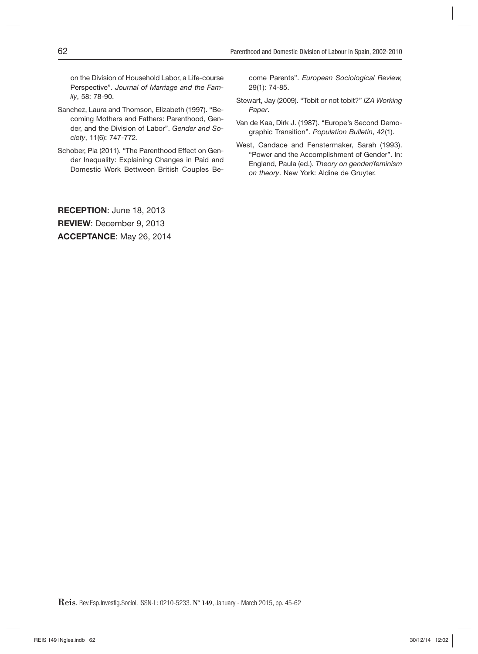on the Division of Household Labor, a Life-course Perspective". Journal of Marriage and the Family, 58: 78-90.

- Sanchez, Laura and Thomson, Elizabeth (1997). "Becoming Mothers and Fathers: Parenthood, Gender, and the Division of Labor". Gender and Society, 11(6): 747-772.
- Schober, Pia (2011). "The Parenthood Effect on Gender Inequality: Explaining Changes in Paid and Domestic Work Bettween British Couples Be-

**RECEPTION**: June 18, 2013 **REVIEW**: December 9, 2013 **ACCEPTANCE**: May 26, 2014 come Parents". European Sociological Review, 29(1): 74-85.

- Stewart, Jay (2009). "Tobit or not tobit?" IZA Working Paper.
- Van de Kaa, Dirk J. (1987). "Europe's Second Demographic Transition". Population Bulletin, 42(1).
- West, Candace and Fenstermaker, Sarah (1993). "Power and the Accomplishment of Gender". In: England, Paula (ed.). Theory on gender/feminism on theory. New York: Aldine de Gruyter.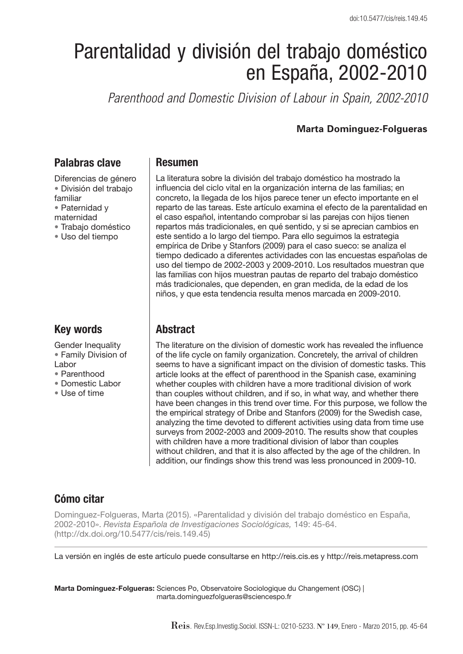# Parentalidad y división del trabajo doméstico en España, 2002-2010

*Parenthood and Domestic Division of Labour in Spain, 2002-2010*

#### **Marta Dominguez-Folgueras**

#### **Palabras clave**

Diferencias de género • División del trabajo familiar • Paternidad y maternidad • Trabajo doméstico

• Uso del tiempo

# **Key words**

Gender Inequality • Family Division of Labor

- Parenthood
- Domestic Labor
- Use of time

#### **Resumen**

La literatura sobre la división del trabajo doméstico ha mostrado la influencia del ciclo vital en la organización interna de las familias; en concreto, la llegada de los hijos parece tener un efecto importante en el reparto de las tareas. Este artículo examina el efecto de la parentalidad en el caso español, intentando comprobar si las parejas con hijos tienen repartos más tradicionales, en qué sentido, y si se aprecian cambios en este sentido a lo largo del tiempo. Para ello seguimos la estrategia empírica de Dribe y Stanfors (2009) para el caso sueco: se analiza el tiempo dedicado a diferentes actividades con las encuestas españolas de uso del tiempo de 2002-2003 y 2009-2010. Los resultados muestran que las familias con hijos muestran pautas de reparto del trabajo doméstico más tradicionales, que dependen, en gran medida, de la edad de los niños, y que esta tendencia resulta menos marcada en 2009-2010.

### **Abstract**

The literature on the division of domestic work has revealed the influence of the life cycle on family organization. Concretely, the arrival of children seems to have a significant impact on the division of domestic tasks. This article looks at the effect of parenthood in the Spanish case, examining whether couples with children have a more traditional division of work than couples without children, and if so, in what way, and whether there have been changes in this trend over time. For this purpose, we follow the the empirical strategy of Dribe and Stanfors (2009) for the Swedish case, analyzing the time devoted to different activities using data from time use surveys from 2002-2003 and 2009-2010. The results show that couples with children have a more traditional division of labor than couples without children, and that it is also affected by the age of the children. In addition, our findings show this trend was less pronounced in 2009-10.

# **Cómo citar**

Dominguez-Folgueras, Marta (2015). «Parentalidad y división del trabajo doméstico en España, 2002-2010». Revista Española de Investigaciones Sociológicas, 149: 45-64. (http://dx.doi.org/10.5477/cis/reis.149.45)

La versión en inglés de este artículo puede consultarse en http://reis.cis.es y http://reis.metapress.com

**Marta Dominguez-Folgueras:** Sciences Po, Observatoire Sociologique du Changement (OSC) | marta.dominguezfolgueras@sciencespo.fr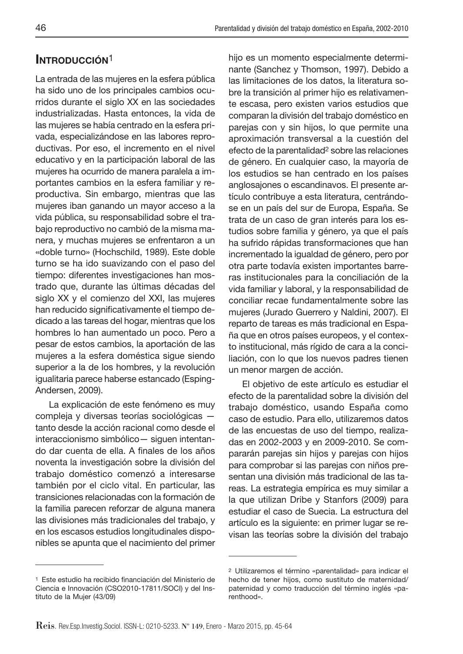# **INTRODUCCIÓN**1

La entrada de las mujeres en la esfera pública ha sido uno de los principales cambios ocurridos durante el siglo XX en las sociedades industrializadas. Hasta entonces, la vida de las mujeres se había centrado en la esfera privada, especializándose en las labores reproductivas. Por eso, el incremento en el nivel educativo y en la participación laboral de las mujeres ha ocurrido de manera paralela a importantes cambios en la esfera familiar y reproductiva. Sin embargo, mientras que las mujeres iban ganando un mayor acceso a la vida pública, su responsabilidad sobre el trabajo reproductivo no cambió de la misma manera, y muchas mujeres se enfrentaron a un «doble turno» (Hochschild, 1989). Este doble turno se ha ido suavizando con el paso del tiempo: diferentes investigaciones han mostrado que, durante las últimas décadas del siglo XX y el comienzo del XXI, las mujeres han reducido significativamente el tiempo dedicado a las tareas del hogar, mientras que los hombres lo han aumentado un poco. Pero a pesar de estos cambios, la aportación de las mujeres a la esfera doméstica sigue siendo superior a la de los hombres, y la revolución igualitaria parece haberse estancado (Esping-Andersen, 2009).

La explicación de este fenómeno es muy compleja y diversas teorías sociológicas tanto desde la acción racional como desde el interaccionismo simbólico— siguen intentando dar cuenta de ella. A finales de los años noventa la investigación sobre la división del trabajo doméstico comenzó a interesarse también por el ciclo vital. En particular, las transiciones relacionadas con la formación de la familia parecen reforzar de alguna manera las divisiones más tradicionales del trabajo, y en los escasos estudios longitudinales disponibles se apunta que el nacimiento del primer

<sup>1</sup> Este estudio ha recibido financiación del Ministerio de Ciencia e Innovación (CSO2010-17811/SOCI) y del Instituto de la Mujer (43/09)

hijo es un momento especialmente determinante (Sanchez y Thomson, 1997). Debido a las limitaciones de los datos, la literatura sobre la transición al primer hijo es relativamente escasa, pero existen varios estudios que comparan la división del trabajo doméstico en parejas con y sin hijos, lo que permite una aproximación transversal a la cuestión del efecto de la parentalidad2 sobre las relaciones de género. En cualquier caso, la mayoría de los estudios se han centrado en los países anglosajones o escandinavos. El presente artículo contribuye a esta literatura, centrándose en un país del sur de Europa, España. Se trata de un caso de gran interés para los estudios sobre familia y género, ya que el país ha sufrido rápidas transformaciones que han incrementado la igualdad de género, pero por otra parte todavía existen importantes barreras institucionales para la conciliación de la vida familiar y laboral, y la responsabilidad de conciliar recae fundamentalmente sobre las mujeres (Jurado Guerrero y Naldini, 2007). El reparto de tareas es más tradicional en España que en otros países europeos, y el contexto institucional, más rígido de cara a la conciliación, con lo que los nuevos padres tienen un menor margen de acción.

El objetivo de este artículo es estudiar el efecto de la parentalidad sobre la división del trabajo doméstico, usando España como caso de estudio. Para ello, utilizaremos datos de las encuestas de uso del tiempo, realizadas en 2002-2003 y en 2009-2010. Se compararán parejas sin hijos y parejas con hijos para comprobar si las parejas con niños presentan una división más tradicional de las tareas. La estrategia empírica es muy similar a la que utilizan Dribe y Stanfors (2009) para estudiar el caso de Suecia. La estructura del artículo es la siguiente: en primer lugar se revisan las teorías sobre la división del trabajo

<sup>2</sup> Utilizaremos el término «parentalidad» para indicar el hecho de tener hijos, como sustituto de maternidad/ paternidad y como traducción del término inglés «parenthood».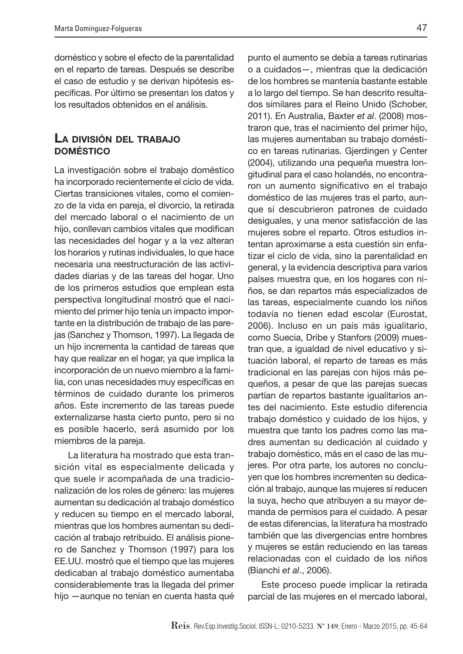doméstico y sobre el efecto de la parentalidad en el reparto de tareas. Después se describe el caso de estudio y se derivan hipótesis específicas. Por último se presentan los datos y los resultados obtenidos en el análisis.

#### **LA DIVISIÓN DEL TRABAJO DOMÉSTICO**

La investigación sobre el trabajo doméstico ha incorporado recientemente el ciclo de vida. Ciertas transiciones vitales, como el comienzo de la vida en pareja, el divorcio, la retirada del mercado laboral o el nacimiento de un hijo, conllevan cambios vitales que modifican las necesidades del hogar y a la vez alteran los horarios y rutinas individuales, lo que hace necesaria una reestructuración de las actividades diarias y de las tareas del hogar. Uno de los primeros estudios que emplean esta perspectiva longitudinal mostró que el nacimiento del primer hijo tenía un impacto importante en la distribución de trabajo de las parejas (Sanchez y Thomson, 1997). La llegada de un hijo incrementa la cantidad de tareas que hay que realizar en el hogar, ya que implica la incorporación de un nuevo miembro a la familia, con unas necesidades muy específicas en términos de cuidado durante los primeros años. Este incremento de las tareas puede externalizarse hasta cierto punto, pero si no es posible hacerlo, será asumido por los miembros de la pareja.

La literatura ha mostrado que esta transición vital es especialmente delicada y que suele ir acompañada de una tradicionalización de los roles de género: las mujeres aumentan su dedicación al trabajo doméstico y reducen su tiempo en el mercado laboral, mientras que los hombres aumentan su dedicación al trabajo retribuido. El análisis pionero de Sanchez y Thomson (1997) para los EE.UU. mostró que el tiempo que las mujeres dedicaban al trabajo doméstico aumentaba considerablemente tras la llegada del primer hijo —aunque no tenían en cuenta hasta qué

punto el aumento se debía a tareas rutinarias o a cuidados—, mientras que la dedicación de los hombres se mantenía bastante estable a lo largo del tiempo. Se han descrito resultados similares para el Reino Unido (Schober, 2011). En Australia, Baxter et al. (2008) mostraron que, tras el nacimiento del primer hijo, las mujeres aumentaban su trabajo doméstico en tareas rutinarias. Gjerdingen y Center (2004), utilizando una pequeña muestra longitudinal para el caso holandés, no encontraron un aumento significativo en el trabajo doméstico de las mujeres tras el parto, aunque sí descubrieron patrones de cuidado desiguales, y una menor satisfacción de las mujeres sobre el reparto. Otros estudios intentan aproximarse a esta cuestión sin enfatizar el ciclo de vida, sino la parentalidad en general, y la evidencia descriptiva para varios países muestra que, en los hogares con niños, se dan repartos más especializados de las tareas, especialmente cuando los niños todavía no tienen edad escolar (Eurostat, 2006). Incluso en un país más igualitario, como Suecia, Dribe y Stanfors (2009) muestran que, a igualdad de nivel educativo y situación laboral, el reparto de tareas es más tradicional en las parejas con hijos más pequeños, a pesar de que las parejas suecas partían de repartos bastante igualitarios antes del nacimiento. Este estudio diferencia trabajo doméstico y cuidado de los hijos, y muestra que tanto los padres como las madres aumentan su dedicación al cuidado y trabajo doméstico, más en el caso de las mujeres. Por otra parte, los autores no concluyen que los hombres incrementen su dedicación al trabajo, aunque las mujeres sí reducen la suya, hecho que atribuyen a su mayor demanda de permisos para el cuidado. A pesar de estas diferencias, la literatura ha mostrado también que las divergencias entre hombres y mujeres se están reduciendo en las tareas relacionadas con el cuidado de los niños (Bianchi et al., 2006).

Este proceso puede implicar la retirada parcial de las mujeres en el mercado laboral,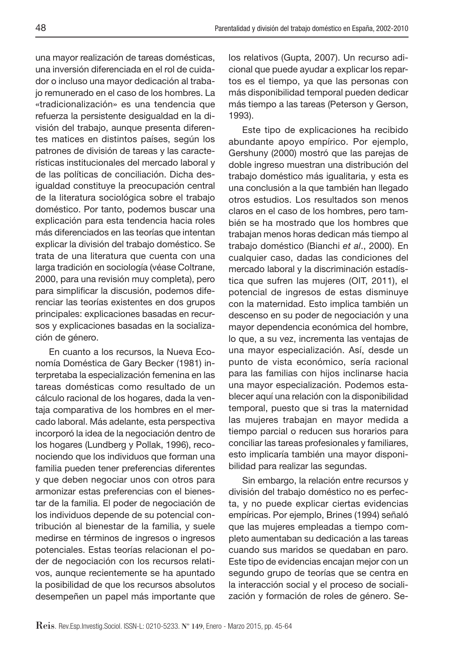una mayor realización de tareas domésticas, una inversión diferenciada en el rol de cuidador o incluso una mayor dedicación al trabajo remunerado en el caso de los hombres. La «tradicionalización» es una tendencia que refuerza la persistente desigualdad en la división del trabajo, aunque presenta diferentes matices en distintos países, según los patrones de división de tareas y las características institucionales del mercado laboral y de las políticas de conciliación. Dicha desigualdad constituye la preocupación central de la literatura sociológica sobre el trabajo doméstico. Por tanto, podemos buscar una explicación para esta tendencia hacia roles más diferenciados en las teorías que intentan explicar la división del trabajo doméstico. Se trata de una literatura que cuenta con una larga tradición en sociología (véase Coltrane, 2000, para una revisión muy completa), pero para simplificar la discusión, podemos diferenciar las teorías existentes en dos grupos principales: explicaciones basadas en recursos y explicaciones basadas en la socialización de género.

En cuanto a los recursos, la Nueva Economía Doméstica de Gary Becker (1981) interpretaba la especialización femenina en las tareas domésticas como resultado de un cálculo racional de los hogares, dada la ventaja comparativa de los hombres en el mercado laboral. Más adelante, esta perspectiva incorporó la idea de la negociación dentro de los hogares (Lundberg y Pollak, 1996), reconociendo que los individuos que forman una familia pueden tener preferencias diferentes y que deben negociar unos con otros para armonizar estas preferencias con el bienestar de la familia. El poder de negociación de los individuos depende de su potencial contribución al bienestar de la familia, y suele medirse en términos de ingresos o ingresos potenciales. Estas teorías relacionan el poder de negociación con los recursos relativos, aunque recientemente se ha apuntado la posibilidad de que los recursos absolutos desempeñen un papel más importante que

los relativos (Gupta, 2007). Un recurso adicional que puede ayudar a explicar los repartos es el tiempo, ya que las personas con más disponibilidad temporal pueden dedicar más tiempo a las tareas (Peterson y Gerson, 1993).

Este tipo de explicaciones ha recibido abundante apoyo empírico. Por ejemplo, Gershuny (2000) mostró que las parejas de doble ingreso muestran una distribución del trabajo doméstico más igualitaria, y esta es una conclusión a la que también han llegado otros estudios. Los resultados son menos claros en el caso de los hombres, pero también se ha mostrado que los hombres que trabajan menos horas dedican más tiempo al trabajo doméstico (Bianchi et al., 2000). En cualquier caso, dadas las condiciones del mercado laboral y la discriminación estadística que sufren las mujeres (OIT, 2011), el potencial de ingresos de estas disminuye con la maternidad. Esto implica también un descenso en su poder de negociación y una mayor dependencia económica del hombre, lo que, a su vez, incrementa las ventajas de una mayor especialización. Así, desde un punto de vista económico, sería racional para las familias con hijos inclinarse hacia una mayor especialización. Podemos establecer aquí una relación con la disponibilidad temporal, puesto que si tras la maternidad las mujeres trabajan en mayor medida a tiempo parcial o reducen sus horarios para conciliar las tareas profesionales y familiares, esto implicaría también una mayor disponibilidad para realizar las segundas.

Sin embargo, la relación entre recursos y división del trabajo doméstico no es perfecta, y no puede explicar ciertas evidencias empíricas. Por ejemplo, Brines (1994) señaló que las mujeres empleadas a tiempo completo aumentaban su dedicación a las tareas cuando sus maridos se quedaban en paro. Este tipo de evidencias encajan mejor con un segundo grupo de teorías que se centra en la interacción social y el proceso de socialización y formación de roles de género. Se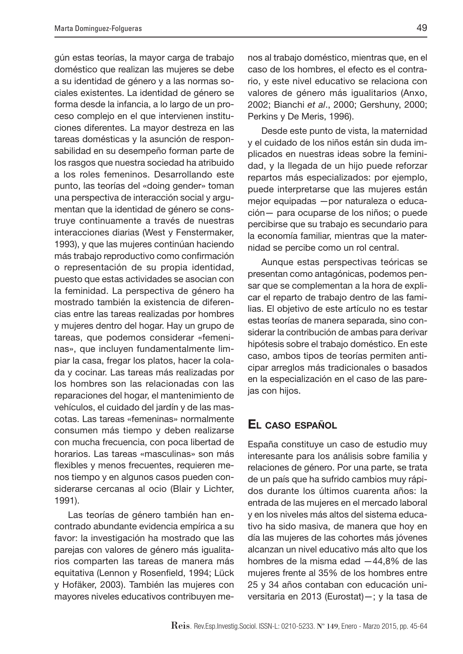gún estas teorías, la mayor carga de trabajo doméstico que realizan las mujeres se debe a su identidad de género y a las normas sociales existentes. La identidad de género se forma desde la infancia, a lo largo de un proceso complejo en el que intervienen instituciones diferentes. La mayor destreza en las tareas domésticas y la asunción de responsabilidad en su desempeño forman parte de los rasgos que nuestra sociedad ha atribuido a los roles femeninos. Desarrollando este punto, las teorías del «doing gender» toman una perspectiva de interacción social y argumentan que la identidad de género se construye continuamente a través de nuestras interacciones diarias (West y Fenstermaker, 1993), y que las mujeres continúan haciendo más trabajo reproductivo como confirmación o representación de su propia identidad, puesto que estas actividades se asocian con la feminidad. La perspectiva de género ha mostrado también la existencia de diferencias entre las tareas realizadas por hombres y mujeres dentro del hogar. Hay un grupo de tareas, que podemos considerar «femeninas», que incluyen fundamentalmente limpiar la casa, fregar los platos, hacer la colada y cocinar. Las tareas más realizadas por los hombres son las relacionadas con las reparaciones del hogar, el mantenimiento de vehículos, el cuidado del jardín y de las mascotas. Las tareas «femeninas» normalmente consumen más tiempo y deben realizarse con mucha frecuencia, con poca libertad de horarios. Las tareas «masculinas» son más flexibles y menos frecuentes, requieren menos tiempo y en algunos casos pueden considerarse cercanas al ocio (Blair y Lichter, 1991).

Las teorías de género también han encontrado abundante evidencia empírica a su favor: la investigación ha mostrado que las parejas con valores de género más igualitarios comparten las tareas de manera más equitativa (Lennon y Rosenfield, 1994; Lück y Hofäker, 2003). También las mujeres con mayores niveles educativos contribuyen menos al trabajo doméstico, mientras que, en el caso de los hombres, el efecto es el contrario, y este nivel educativo se relaciona con valores de género más igualitarios (Anxo, 2002; Bianchi et al., 2000; Gershuny, 2000; Perkins y De Meris, 1996).

Desde este punto de vista, la maternidad y el cuidado de los niños están sin duda implicados en nuestras ideas sobre la feminidad, y la llegada de un hijo puede reforzar repartos más especializados: por ejemplo, puede interpretarse que las mujeres están mejor equipadas —por naturaleza o educación— para ocuparse de los niños; o puede percibirse que su trabajo es secundario para la economía familiar, mientras que la maternidad se percibe como un rol central.

Aunque estas perspectivas teóricas se presentan como antagónicas, podemos pensar que se complementan a la hora de explicar el reparto de trabajo dentro de las familias. El objetivo de este artículo no es testar estas teorías de manera separada, sino considerar la contribución de ambas para derivar hipótesis sobre el trabajo doméstico. En este caso, ambos tipos de teorías permiten anticipar arreglos más tradicionales o basados en la especialización en el caso de las parejas con hijos.

# **EL CASO ESPAÑOL**

España constituye un caso de estudio muy interesante para los análisis sobre familia y relaciones de género. Por una parte, se trata de un país que ha sufrido cambios muy rápidos durante los últimos cuarenta años: la entrada de las mujeres en el mercado laboral y en los niveles más altos del sistema educativo ha sido masiva, de manera que hoy en día las mujeres de las cohortes más jóvenes alcanzan un nivel educativo más alto que los hombres de la misma edad —44,8% de las mujeres frente al 35% de los hombres entre 25 y 34 años contaban con educación universitaria en 2013 (Eurostat)—; y la tasa de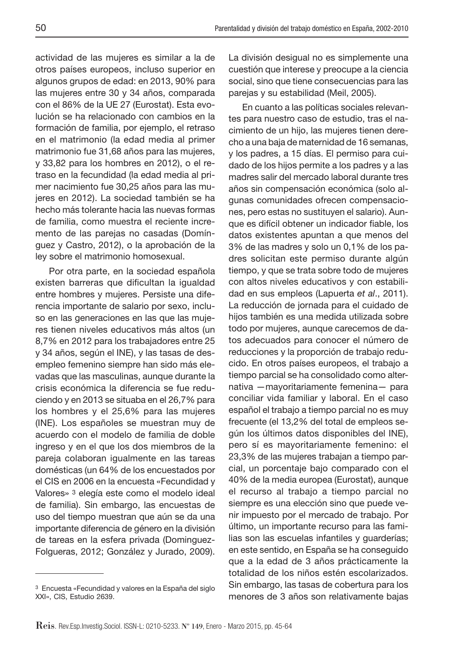actividad de las mujeres es similar a la de otros países europeos, incluso superior en algunos grupos de edad: en 2013, 90% para las mujeres entre 30 y 34 años, comparada con el 86% de la UE 27 (Eurostat). Esta evolución se ha relacionado con cambios en la formación de familia, por ejemplo, el retraso en el matrimonio (la edad media al primer matrimonio fue 31,68 años para las mujeres, y 33,82 para los hombres en 2012), o el retraso en la fecundidad (la edad media al primer nacimiento fue 30,25 años para las mujeres en 2012). La sociedad también se ha hecho más tolerante hacia las nuevas formas de familia, como muestra el reciente incremento de las parejas no casadas (Domínguez y Castro, 2012), o la aprobación de la ley sobre el matrimonio homosexual.

Por otra parte, en la sociedad española existen barreras que dificultan la igualdad entre hombres y mujeres. Persiste una diferencia importante de salario por sexo, incluso en las generaciones en las que las mujeres tienen niveles educativos más altos (un 8,7% en 2012 para los trabajadores entre 25 y 34 años, según el INE), y las tasas de desempleo femenino siempre han sido más elevadas que las masculinas, aunque durante la crisis económica la diferencia se fue reduciendo y en 2013 se situaba en el 26,7% para los hombres y el 25,6% para las mujeres (INE). Los españoles se muestran muy de acuerdo con el modelo de familia de doble ingreso y en el que los dos miembros de la pareja colaboran igualmente en las tareas domésticas (un 64% de los encuestados por el CIS en 2006 en la encuesta «Fecundidad y Valores» 3 elegía este como el modelo ideal de familia). Sin embargo, las encuestas de uso del tiempo muestran que aún se da una importante diferencia de género en la división de tareas en la esfera privada (Dominguez-Folgueras, 2012; González y Jurado, 2009).

La división desigual no es simplemente una cuestión que interese y preocupe a la ciencia social, sino que tiene consecuencias para las parejas y su estabilidad (Meil, 2005).

En cuanto a las políticas sociales relevantes para nuestro caso de estudio, tras el nacimiento de un hijo, las mujeres tienen derecho a una baja de maternidad de 16 semanas, y los padres, a 15 días. El permiso para cuidado de los hijos permite a los padres y a las madres salir del mercado laboral durante tres años sin compensación económica (solo algunas comunidades ofrecen compensaciones, pero estas no sustituyen el salario). Aunque es difícil obtener un indicador fiable, los datos existentes apuntan a que menos del 3% de las madres y solo un 0,1% de los padres solicitan este permiso durante algún tiempo, y que se trata sobre todo de mujeres con altos niveles educativos y con estabilidad en sus empleos (Lapuerta et al., 2011). La reducción de jornada para el cuidado de hijos también es una medida utilizada sobre todo por mujeres, aunque carecemos de datos adecuados para conocer el número de reducciones y la proporción de trabajo reducido. En otros países europeos, el trabajo a tiempo parcial se ha consolidado como alternativa —mayoritariamente femenina— para conciliar vida familiar y laboral. En el caso español el trabajo a tiempo parcial no es muy frecuente (el 13,2% del total de empleos según los últimos datos disponibles del INE), pero sí es mayoritariamente femenino: el 23,3% de las mujeres trabajan a tiempo parcial, un porcentaje bajo comparado con el 40% de la media europea (Eurostat), aunque el recurso al trabajo a tiempo parcial no siempre es una elección sino que puede venir impuesto por el mercado de trabajo. Por último, un importante recurso para las familias son las escuelas infantiles y guarderías; en este sentido, en España se ha conseguido que a la edad de 3 años prácticamente la totalidad de los niños estén escolarizados. Sin embargo, las tasas de cobertura para los menores de 3 años son relativamente bajas

<sup>3</sup> Encuesta «Fecundidad y valores en la España del siglo XXI», CIS, Estudio 2639.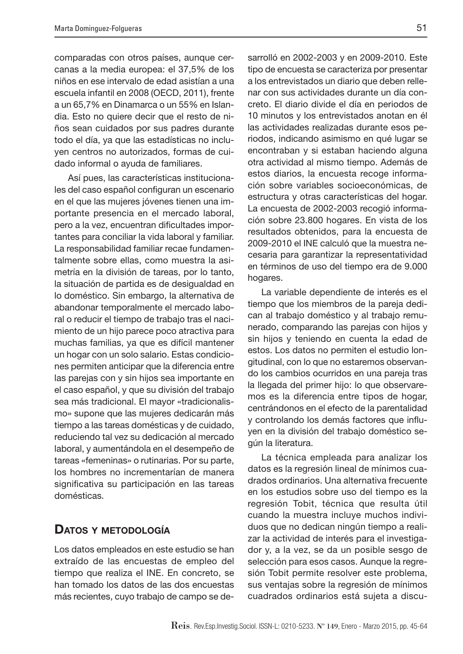comparadas con otros países, aunque cercanas a la media europea: el 37,5% de los niños en ese intervalo de edad asistían a una escuela infantil en 2008 (OECD, 2011), frente a un 65,7% en Dinamarca o un 55% en Islandia. Esto no quiere decir que el resto de niños sean cuidados por sus padres durante todo el día, ya que las estadísticas no incluyen centros no autorizados, formas de cuidado informal o ayuda de familiares.

Así pues, las características institucionales del caso español configuran un escenario en el que las mujeres jóvenes tienen una importante presencia en el mercado laboral, pero a la vez, encuentran dificultades importantes para conciliar la vida laboral y familiar. La responsabilidad familiar recae fundamentalmente sobre ellas, como muestra la asimetría en la división de tareas, por lo tanto, la situación de partida es de desigualdad en lo doméstico. Sin embargo, la alternativa de abandonar temporalmente el mercado laboral o reducir el tiempo de trabajo tras el nacimiento de un hijo parece poco atractiva para muchas familias, ya que es difícil mantener un hogar con un solo salario. Estas condiciones permiten anticipar que la diferencia entre las parejas con y sin hijos sea importante en el caso español, y que su división del trabajo sea más tradicional. El mayor «tradicionalismo» supone que las mujeres dedicarán más tiempo a las tareas domésticas y de cuidado, reduciendo tal vez su dedicación al mercado laboral, y aumentándola en el desempeño de tareas «femeninas» o rutinarias. Por su parte, los hombres no incrementarían de manera significativa su participación en las tareas domésticas.

# **DATOS <sup>Y</sup> METODOLOGÍA**

Los datos empleados en este estudio se han extraído de las encuestas de empleo del tiempo que realiza el INE. En concreto, se han tomado los datos de las dos encuestas más recientes, cuyo trabajo de campo se desarrolló en 2002-2003 y en 2009-2010. Este tipo de encuesta se caracteriza por presentar a los entrevistados un diario que deben rellenar con sus actividades durante un día concreto. El diario divide el día en periodos de 10 minutos y los entrevistados anotan en él las actividades realizadas durante esos periodos, indicando asimismo en qué lugar se encontraban y si estaban haciendo alguna otra actividad al mismo tiempo. Además de estos diarios, la encuesta recoge información sobre variables socioeconómicas, de estructura y otras características del hogar. La encuesta de 2002-2003 recogió información sobre 23.800 hogares. En vista de los resultados obtenidos, para la encuesta de 2009-2010 el INE calculó que la muestra necesaria para garantizar la representatividad en términos de uso del tiempo era de 9.000 hogares.

La variable dependiente de interés es el tiempo que los miembros de la pareja dedican al trabajo doméstico y al trabajo remunerado, comparando las parejas con hijos y sin hijos y teniendo en cuenta la edad de estos. Los datos no permiten el estudio longitudinal, con lo que no estaremos observando los cambios ocurridos en una pareja tras la llegada del primer hijo: lo que observaremos es la diferencia entre tipos de hogar, centrándonos en el efecto de la parentalidad y controlando los demás factores que influyen en la división del trabajo doméstico según la literatura.

La técnica empleada para analizar los datos es la regresión lineal de mínimos cuadrados ordinarios. Una alternativa frecuente en los estudios sobre uso del tiempo es la regresión Tobit, técnica que resulta útil cuando la muestra incluye muchos individuos que no dedican ningún tiempo a realizar la actividad de interés para el investigador y, a la vez, se da un posible sesgo de selección para esos casos. Aunque la regresión Tobit permite resolver este problema, sus ventajas sobre la regresión de mínimos cuadrados ordinarios está sujeta a discu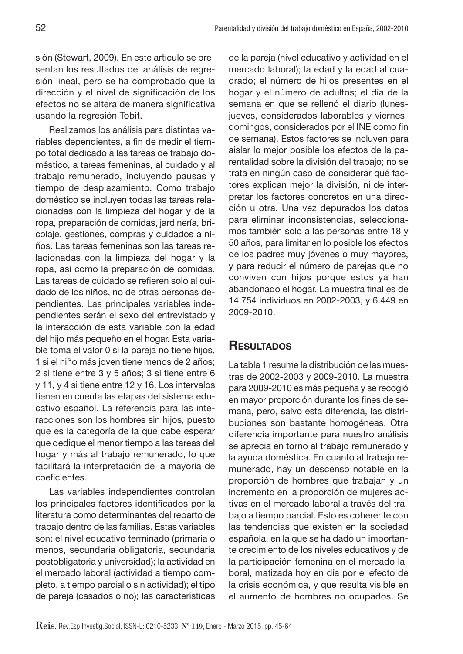sión (Stewart, 2009). En este artículo se presentan los resultados del análisis de regresión lineal, pero se ha comprobado que la dirección y el nivel de significación de los efectos no se altera de manera significativa usando la regresión Tobit.

Realizamos los análisis para distintas variables dependientes, a fin de medir el tiempo total dedicado a las tareas de trabajo doméstico, a tareas femeninas, al cuidado y al trabajo remunerado, incluyendo pausas y tiempo de desplazamiento. Como trabajo doméstico se incluyen todas las tareas relacionadas con la limpieza del hogar y de la ropa, preparación de comidas, jardinería, bricolaje, gestiones, compras y cuidados a niños. Las tareas femeninas son las tareas relacionadas con la limpieza del hogar y la ropa, así como la preparación de comidas. Las tareas de cuidado se refieren solo al cuidado de los niños, no de otras personas dependientes. Las principales variables independientes serán el sexo del entrevistado y la interacción de esta variable con la edad del hijo más pequeño en el hogar. Esta variable toma el valor 0 si la pareja no tiene hijos, 1 si el niño más joven tiene menos de 2 años; 2 si tiene entre 3 y 5 años; 3 si tiene entre 6 y 11, y 4 si tiene entre 12 y 16. Los intervalos tienen en cuenta las etapas del sistema educativo español. La referencia para las interacciones son los hombres sin hijos, puesto que es la categoría de la que cabe esperar que dedique el menor tiempo a las tareas del hogar y más al trabajo remunerado, lo que facilitará la interpretación de la mayoría de coeficientes.

Las variables independientes controlan los principales factores identificados por la literatura como determinantes del reparto de trabajo dentro de las familias. Estas variables son: el nivel educativo terminado (primaria o menos, secundaria obligatoria, secundaria postobligatoria y universidad); la actividad en el mercado laboral (actividad a tiempo completo, a tiempo parcial o sin actividad); el tipo de pareja (casados o no); las características

de la pareja (nivel educativo y actividad en el mercado laboral); la edad y la edad al cuadrado; el número de hijos presentes en el hogar y el número de adultos; el día de la semana en que se rellenó el diario (lunesjueves, considerados laborables y viernesdomingos, considerados por el INE como fin de semana). Estos factores se incluyen para aislar lo mejor posible los efectos de la parentalidad sobre la división del trabajo; no se trata en ningún caso de considerar qué factores explican mejor la división, ni de interpretar los factores concretos en una dirección u otra. Una vez depurados los datos para eliminar inconsistencias, seleccionamos también solo a las personas entre 18 y 50 años, para limitar en lo posible los efectos de los padres muy jóvenes o muy mayores, y para reducir el número de parejas que no conviven con hijos porque estos ya han abandonado el hogar. La muestra final es de 14.754 individuos en 2002-2003, y 6.449 en 2009-2010.

### **RESULTADOS**

La tabla 1 resume la distribución de las muestras de 2002-2003 y 2009-2010. La muestra para 2009-2010 es más pequeña y se recogió en mayor proporción durante los fines de semana, pero, salvo esta diferencia, las distribuciones son bastante homogéneas. Otra diferencia importante para nuestro análisis se aprecia en torno al trabajo remunerado y la ayuda doméstica. En cuanto al trabajo remunerado, hay un descenso notable en la proporción de hombres que trabajan y un incremento en la proporción de mujeres activas en el mercado laboral a través del trabajo a tiempo parcial. Esto es coherente con las tendencias que existen en la sociedad española, en la que se ha dado un importante crecimiento de los niveles educativos y de la participación femenina en el mercado laboral, matizada hoy en día por el efecto de la crisis económica, y que resulta visible en el aumento de hombres no ocupados. Se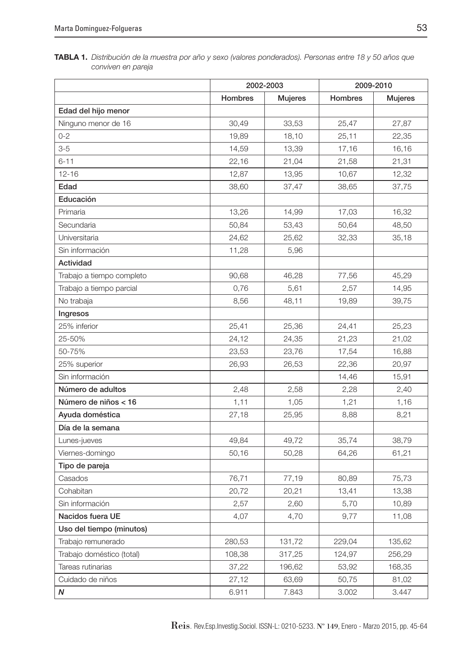|                           |         | 2002-2003      |         | 2009-2010 |  |
|---------------------------|---------|----------------|---------|-----------|--|
|                           | Hombres | <b>Mujeres</b> | Hombres | Mujeres   |  |
| Edad del hijo menor       |         |                |         |           |  |
| Ninguno menor de 16       | 30,49   | 33,53          | 25,47   | 27,87     |  |
| $0 - 2$                   | 19,89   | 18,10          | 25,11   | 22,35     |  |
| $3-5$                     | 14,59   | 13,39          | 17,16   | 16,16     |  |
| $6 - 11$                  | 22,16   | 21,04          | 21,58   | 21,31     |  |
| $12 - 16$                 | 12,87   | 13,95          | 10,67   | 12,32     |  |
| Edad                      | 38,60   | 37,47          | 38,65   | 37,75     |  |
| Educación                 |         |                |         |           |  |
| Primaria                  | 13,26   | 14,99          | 17,03   | 16,32     |  |
| Secundaria                | 50,84   | 53,43          | 50,64   | 48,50     |  |
| Universitaria             | 24,62   | 25,62          | 32,33   | 35,18     |  |
| Sin información           | 11,28   | 5,96           |         |           |  |
| Actividad                 |         |                |         |           |  |
| Trabajo a tiempo completo | 90,68   | 46,28          | 77,56   | 45,29     |  |
| Trabajo a tiempo parcial  | 0,76    | 5,61           | 2,57    | 14,95     |  |
| No trabaja                | 8,56    | 48,11          | 19,89   | 39,75     |  |
| Ingresos                  |         |                |         |           |  |
| 25% inferior              | 25,41   | 25,36          | 24,41   | 25,23     |  |
| 25-50%                    | 24,12   | 24,35          | 21,23   | 21,02     |  |
| 50-75%                    | 23,53   | 23,76          | 17,54   | 16,88     |  |
| 25% superior              | 26,93   | 26,53          | 22,36   | 20,97     |  |
| Sin información           |         |                | 14,46   | 15,91     |  |
| Número de adultos         | 2,48    | 2,58           | 2,28    | 2,40      |  |
| Número de niños < 16      | 1,11    | 1,05           | 1,21    | 1,16      |  |
| Ayuda doméstica           | 27,18   | 25,95          | 8,88    | 8,21      |  |
| Día de la semana          |         |                |         |           |  |
| Lunes-jueves              | 49,84   | 49,72          | 35,74   | 38,79     |  |
| Viernes-domingo           | 50,16   | 50,28          | 64,26   | 61,21     |  |
| Tipo de pareja            |         |                |         |           |  |
| Casados                   | 76,71   | 77,19          | 80,89   | 75,73     |  |
| Cohabitan                 | 20,72   | 20,21          | 13,41   | 13,38     |  |
| Sin información           | 2,57    | 2,60           | 5,70    | 10,89     |  |
| Nacidos fuera UE          | 4,07    | 4,70           | 9,77    | 11,08     |  |
| Uso del tiempo (minutos)  |         |                |         |           |  |
| Trabajo remunerado        | 280,53  | 131,72         | 229,04  | 135,62    |  |
| Trabajo doméstico (total) | 108,38  | 317,25         | 124,97  | 256,29    |  |
| Tareas rutinarias         | 37,22   | 196,62         | 53,92   | 168,35    |  |
| Cuidado de niños          | 27,12   | 63,69          | 50,75   | 81,02     |  |
| Ν                         | 6.911   | 7.843          | 3.002   | 3.447     |  |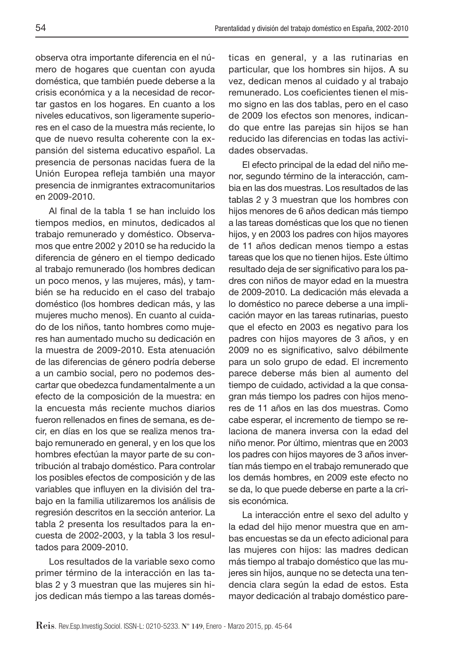observa otra importante diferencia en el número de hogares que cuentan con ayuda doméstica, que también puede deberse a la crisis económica y a la necesidad de recortar gastos en los hogares. En cuanto a los niveles educativos, son ligeramente superiores en el caso de la muestra más reciente, lo que de nuevo resulta coherente con la expansión del sistema educativo español. La presencia de personas nacidas fuera de la Unión Europea refleja también una mayor presencia de inmigrantes extracomunitarios en 2009-2010.

Al final de la tabla 1 se han incluido los tiempos medios, en minutos, dedicados al trabajo remunerado y doméstico. Observamos que entre 2002 y 2010 se ha reducido la diferencia de género en el tiempo dedicado al trabajo remunerado (los hombres dedican un poco menos, y las mujeres, más), y también se ha reducido en el caso del trabajo doméstico (los hombres dedican más, y las mujeres mucho menos). En cuanto al cuidado de los niños, tanto hombres como mujeres han aumentado mucho su dedicación en la muestra de 2009-2010. Esta atenuación de las diferencias de género podría deberse a un cambio social, pero no podemos descartar que obedezca fundamentalmente a un efecto de la composición de la muestra: en la encuesta más reciente muchos diarios fueron rellenados en fines de semana, es decir, en días en los que se realiza menos trabajo remunerado en general, y en los que los hombres efectúan la mayor parte de su contribución al trabajo doméstico. Para controlar los posibles efectos de composición y de las variables que influyen en la división del trabajo en la familia utilizaremos los análisis de regresión descritos en la sección anterior. La tabla 2 presenta los resultados para la encuesta de 2002-2003, y la tabla 3 los resultados para 2009-2010.

Los resultados de la variable sexo como primer término de la interacción en las tablas 2 y 3 muestran que las mujeres sin hijos dedican más tiempo a las tareas domésticas en general, y a las rutinarias en particular, que los hombres sin hijos. A su vez, dedican menos al cuidado y al trabajo remunerado. Los coeficientes tienen el mismo signo en las dos tablas, pero en el caso de 2009 los efectos son menores, indicando que entre las parejas sin hijos se han reducido las diferencias en todas las actividades observadas.

El efecto principal de la edad del niño menor, segundo término de la interacción, cambia en las dos muestras. Los resultados de las tablas 2 y 3 muestran que los hombres con hijos menores de 6 años dedican más tiempo a las tareas domésticas que los que no tienen hijos, y en 2003 los padres con hijos mayores de 11 años dedican menos tiempo a estas tareas que los que no tienen hijos. Este último resultado deja de ser significativo para los padres con niños de mayor edad en la muestra de 2009-2010. La dedicación más elevada a lo doméstico no parece deberse a una implicación mayor en las tareas rutinarias, puesto que el efecto en 2003 es negativo para los padres con hijos mayores de 3 años, y en 2009 no es significativo, salvo débilmente para un solo grupo de edad. El incremento parece deberse más bien al aumento del tiempo de cuidado, actividad a la que consagran más tiempo los padres con hijos menores de 11 años en las dos muestras. Como cabe esperar, el incremento de tiempo se relaciona de manera inversa con la edad del niño menor. Por último, mientras que en 2003 los padres con hijos mayores de 3 años invertían más tiempo en el trabajo remunerado que los demás hombres, en 2009 este efecto no se da, lo que puede deberse en parte a la crisis económica.

La interacción entre el sexo del adulto y la edad del hijo menor muestra que en ambas encuestas se da un efecto adicional para las mujeres con hijos: las madres dedican más tiempo al trabajo doméstico que las mujeres sin hijos, aunque no se detecta una tendencia clara según la edad de estos. Esta mayor dedicación al trabajo doméstico pare-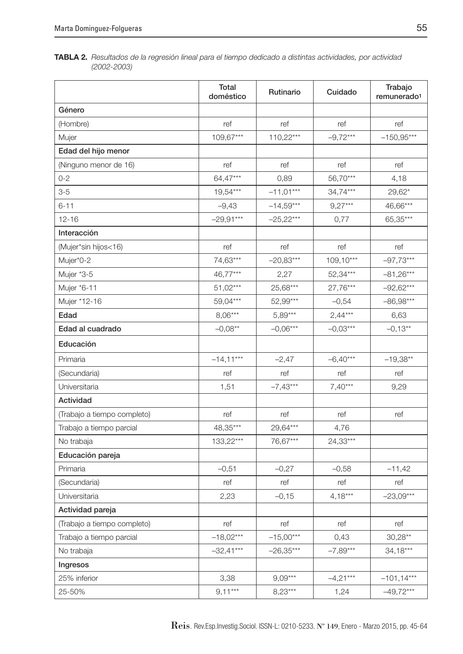**TABLA 2.** Resultados de la regresión lineal para el tiempo dedicado a distintas actividades, por actividad (2002-2003)

|                             | Total<br>doméstico | Rutinario   | Cuidado    | Trabajo<br>remunerado <sup>1</sup> |
|-----------------------------|--------------------|-------------|------------|------------------------------------|
| Género                      |                    |             |            |                                    |
| (Hombre)                    | ref                | ref         | ref        | ref                                |
| Mujer                       | 109,67***          | 110,22***   | $-9.72***$ | $-150,95***$                       |
| Edad del hijo menor         |                    |             |            |                                    |
| (Ninguno menor de 16)       | ref                | ref         | ref        | ref                                |
| $0 - 2$                     | 64,47***           | 0.89        | 56,70***   | 4,18                               |
| $3 - 5$                     | 19,54***           | $-11,01***$ | 34.74***   | $29,62*$                           |
| $6 - 11$                    | $-9,43$            | $-14,59***$ | $9.27***$  | 46,66***                           |
| $12 - 16$                   | $-29,91***$        | $-25,22***$ | 0,77       | 65,35***                           |
| Interacción                 |                    |             |            |                                    |
| (Mujer*sin hijos<16)        | ref                | ref         | ref        | ref                                |
| Mujer*0-2                   | 74,63***           | $-20,83***$ | 109,10***  | $-97,73***$                        |
| Mujer *3-5                  | 46,77***           | 2,27        | 52,34***   | $-81,26***$                        |
| Mujer *6-11                 | $51,02***$         | 25,68***    | 27,76***   | $-92,62***$                        |
| Mujer *12-16                | 59,04***           | 52,99***    | $-0.54$    | $-86,98***$                        |
| Edad                        | $8,06***$          | $5,89***$   | $2,44***$  | 6,63                               |
| Edad al cuadrado            | $-0,08**$          | $-0.06***$  | $-0,03***$ | $-0,13**$                          |
| Educación                   |                    |             |            |                                    |
| Primaria                    | $-14,11***$        | $-2,47$     | $-6,40***$ | $-19,38**$                         |
| (Secundaria)                | ref                | ref         | ref        | ref                                |
| Universitaria               | 1,51               | $-7,43***$  | $7,40***$  | 9,29                               |
| Actividad                   |                    |             |            |                                    |
| (Trabajo a tiempo completo) | ref                | ref         | ref        | ref                                |
| Trabajo a tiempo parcial    | 48,35***           | 29,64***    | 4,76       |                                    |
| No trabaja                  | 133,22***          | 76,67***    | 24,33***   |                                    |
| Educación pareja            |                    |             |            |                                    |
| Primaria                    | $-0,51$            | $-0,27$     | $-0,58$    | $-11,42$                           |
| (Secundaria)                | ref                | ref         | ref        | ref                                |
| Universitaria               | 2,23               | $-0,15$     | $4,18***$  | $-23,09***$                        |
| Actividad pareja            |                    |             |            |                                    |
| (Trabajo a tiempo completo) | ref                | ref         | ref        | ref                                |
| Trabajo a tiempo parcial    | $-18,02***$        | $-15,00***$ | 0,43       | $30,28**$                          |
| No trabaja                  | $-32,41***$        | $-26,35***$ | $-7,89***$ | 34,18***                           |
| Ingresos                    |                    |             |            |                                    |
| 25% inferior                | 3,38               | $9,09***$   | $-4,21***$ | $-101,14***$                       |
| 25-50%                      | $9,11***$          | $8,23***$   | 1,24       | $-49,72***$                        |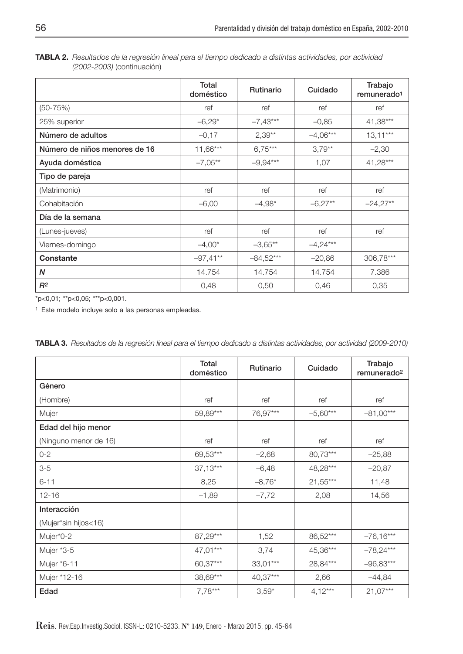|                               | Total      |                    |            | Trabajo                 |  |
|-------------------------------|------------|--------------------|------------|-------------------------|--|
|                               | doméstico  | Rutinario          | Cuidado    | remunerado <sup>1</sup> |  |
| $(50-75%)$                    | ref        | ref                | ref        | ref                     |  |
| 25% superior                  | $-6.29*$   | $-7,43***$         | $-0.85$    | 41,38***                |  |
| Número de adultos             | $-0.17$    | $2,39**$           | $-4,06***$ |                         |  |
| Número de niños menores de 16 | $11,66***$ | $6,75***$          | $3.79**$   | $-2,30$                 |  |
| Ayuda doméstica               | $-7,05**$  | $-9,94***$<br>1,07 |            | 41,28***                |  |
| Tipo de pareja                |            |                    |            |                         |  |
| (Matrimonio)                  | ref        | ref                | ref        | ref                     |  |
| Cohabitación                  | $-6,00$    | $-4.98*$           | $-6.27**$  | $-24,27**$              |  |
| Día de la semana              |            |                    |            |                         |  |
| (Lunes-jueves)                | ref        | ref                | ref        | ref                     |  |
| Viernes-domingo               | $-4,00*$   | $-3,65**$          | $-4,24***$ |                         |  |
| <b>Constante</b>              | $-97,41**$ | $-84,52***$        | $-20,86$   | 306,78***               |  |
| N                             | 14.754     | 14.754             | 14.754     | 7.386                   |  |
| R <sup>2</sup>                | 0,48       | 0,50               | 0,46       | 0,35                    |  |

**TABLA 2.** Resultados de la regresión lineal para el tiempo dedicado a distintas actividades, por actividad (2002-2003) (continuación)

\*p<0,01; \*\*p<0,05; \*\*\*p<0,001.

1 Este modelo incluye solo a las personas empleadas.

|                       | Total<br>doméstico | Rutinario        | Cuidado    | Trabajo<br>remunerado <sup>2</sup> |  |
|-----------------------|--------------------|------------------|------------|------------------------------------|--|
| Género                |                    |                  |            |                                    |  |
| (Hombre)              | ref                | ref              | ref        | ref                                |  |
| Mujer                 | 59,89***           | 76,97***         | $-5,60***$ | $-81,00***$                        |  |
| Edad del hijo menor   |                    |                  |            |                                    |  |
| (Ninguno menor de 16) | ref                | ref              | ref        | ref                                |  |
| $0 - 2$               | 69,53***           | $-2,68$          | 80,73***   | $-25,88$                           |  |
| $3-5$                 | $37,13***$         | $-6,48$          | 48,28***   | $-20,87$                           |  |
| $6 - 11$              | 8,25               | $-8.76*$         | $21,55***$ | 11,48                              |  |
| $12 - 16$             | $-1,89$            | $-7,72$          | 2,08       | 14,56                              |  |
| Interacción           |                    |                  |            |                                    |  |
| (Mujer*sin hijos<16)  |                    |                  |            |                                    |  |
| Mujer*0-2             | 87,29***           | 86,52***<br>1,52 |            | $-76,16***$                        |  |
| Mujer *3-5            | 47,01***           | 45,36***<br>3,74 |            | $-78,24***$                        |  |
| Mujer *6-11           | 60,37***           | 33,01***         | 28,84***   | $-96,83***$                        |  |
| Mujer *12-16          | 38,69***           | $40.37***$       | 2,66       |                                    |  |
| Edad                  | $7,78***$          | $3,59*$          | $4,12***$  | $21,07***$                         |  |

**TABLA 3.** Resultados de la regresión lineal para el tiempo dedicado a distintas actividades, por actividad (2009-2010)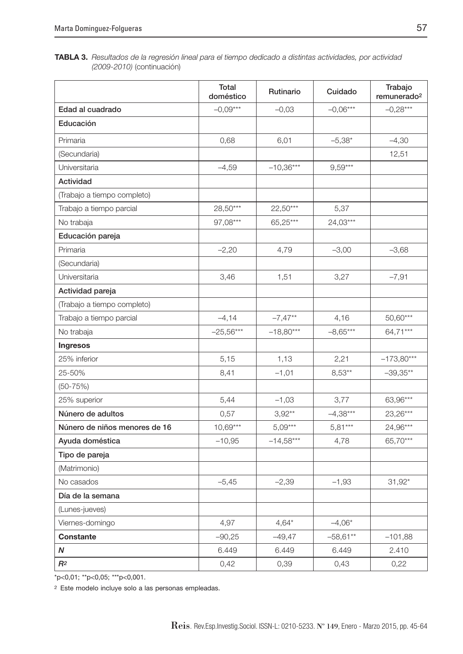**TABLA 3.** Resultados de la regresión lineal para el tiempo dedicado a distintas actividades, por actividad (2009-2010) (continuación)

|                               | Total<br>doméstico | Rutinario   | Cuidado    | Trabajo<br>remunerado <sup>2</sup> |  |
|-------------------------------|--------------------|-------------|------------|------------------------------------|--|
| Edad al cuadrado              | $-0.09***$         | $-0,03$     | $-0,06***$ | $-0.28***$                         |  |
| Educación                     |                    |             |            |                                    |  |
| Primaria                      | 0,68               | 6,01        | $-5,38*$   | $-4,30$                            |  |
| (Secundaria)                  |                    |             |            | 12,51                              |  |
| Universitaria                 | $-4,59$            | $-10,36***$ | $9,59***$  |                                    |  |
| Actividad                     |                    |             |            |                                    |  |
| (Trabajo a tiempo completo)   |                    |             |            |                                    |  |
| Trabajo a tiempo parcial      | $28,50***$         | 22,50***    | 5,37       |                                    |  |
| No trabaja                    | 97,08***           | 65,25***    | 24,03***   |                                    |  |
| Educación pareja              |                    |             |            |                                    |  |
| Primaria                      | $-2,20$            | 4,79        | $-3,00$    | $-3,68$                            |  |
| (Secundaria)                  |                    |             |            |                                    |  |
| Universitaria                 | 3,46               | 1,51        | 3,27       | $-7,91$                            |  |
| Actividad pareja              |                    |             |            |                                    |  |
| (Trabajo a tiempo completo)   |                    |             |            |                                    |  |
| Trabajo a tiempo parcial      | $-4, 14$           | $-7,47**$   | 4,16       | 50,60***                           |  |
| No trabaja                    | $-25,56***$        | $-18,80***$ | $-8,65***$ | 64,71***                           |  |
| Ingresos                      |                    |             |            |                                    |  |
| 25% inferior                  | 5,15               | 1,13        | 2,21       | $-173,80***$                       |  |
| 25-50%                        | 8,41               | $-1,01$     | $8,53**$   | $-39.35**$                         |  |
| $(50 - 75%)$                  |                    |             |            |                                    |  |
| 25% superior                  | 5,44               | $-1,03$     | 3,77       | 63,96***                           |  |
| Núnero de adultos             | 0,57               | $3.92**$    | $-4,38***$ | 23,26***                           |  |
| Núnero de niños menores de 16 | 10,69***           | $5.09***$   | $5,81***$  | 24,96***                           |  |
| Ayuda doméstica               | $-10,95$           | $-14,58***$ | 4,78       | 65,70***                           |  |
| Tipo de pareja                |                    |             |            |                                    |  |
| (Matrimonio)                  |                    |             |            |                                    |  |
| No casados                    | $-5,45$            | $-2,39$     | $-1,93$    | $31,92*$                           |  |
| Día de la semana              |                    |             |            |                                    |  |
| (Lunes-jueves)                |                    |             |            |                                    |  |
| Viernes-domingo               | 4,97               | $4,64*$     | $-4.06*$   |                                    |  |
| Constante                     | $-90,25$           | $-49,47$    | $-58,61**$ | $-101,88$                          |  |
| Ν                             | 6.449              | 6.449       | 6.449      | 2.410                              |  |
| R <sup>2</sup>                | 0,42               | 0,39        | 0,43       | 0,22                               |  |

\*p<0,01; \*\*p<0,05; \*\*\*p<0,001.

2 Este modelo incluye solo a las personas empleadas.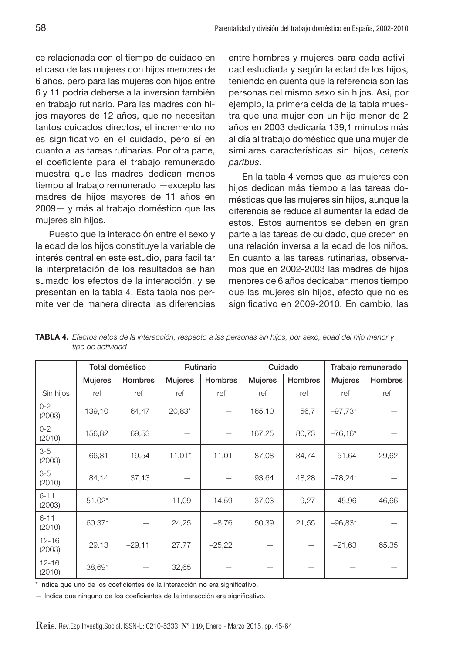ce relacionada con el tiempo de cuidado en el caso de las mujeres con hijos menores de 6 años, pero para las mujeres con hijos entre 6 y 11 podría deberse a la inversión también en trabajo rutinario. Para las madres con hijos mayores de 12 años, que no necesitan tantos cuidados directos, el incremento no es significativo en el cuidado, pero sí en cuanto a las tareas rutinarias. Por otra parte, el coeficiente para el trabajo remunerado muestra que las madres dedican menos tiempo al trabajo remunerado —excepto las madres de hijos mayores de 11 años en 2009— y más al trabajo doméstico que las mujeres sin hijos.

Puesto que la interacción entre el sexo y la edad de los hijos constituye la variable de interés central en este estudio, para facilitar la interpretación de los resultados se han sumado los efectos de la interacción, y se presentan en la tabla 4. Esta tabla nos permite ver de manera directa las diferencias entre hombres y mujeres para cada actividad estudiada y según la edad de los hijos, teniendo en cuenta que la referencia son las personas del mismo sexo sin hijos. Así, por ejemplo, la primera celda de la tabla muestra que una mujer con un hijo menor de 2 años en 2003 dedicaría 139,1 minutos más al día al trabajo doméstico que una mujer de similares características sin hijos, ceteris paribus.

En la tabla 4 vemos que las mujeres con hijos dedican más tiempo a las tareas domésticas que las mujeres sin hijos, aunque la diferencia se reduce al aumentar la edad de estos. Estos aumentos se deben en gran parte a las tareas de cuidado, que crecen en una relación inversa a la edad de los niños. En cuanto a las tareas rutinarias, observamos que en 2002-2003 las madres de hijos menores de 6 años dedicaban menos tiempo que las mujeres sin hijos, efecto que no es significativo en 2009-2010. En cambio, las

|                     | Total doméstico |          | Rutinario      |          | Cuidado        |         | Trabajo remunerado |         |
|---------------------|-----------------|----------|----------------|----------|----------------|---------|--------------------|---------|
|                     | Mujeres         | Hombres  | <b>Mujeres</b> | Hombres  | <b>Mujeres</b> | Hombres | Mujeres            | Hombres |
| Sin hijos           | ref             | ref      | ref            | ref      | ref            | ref     | ref                | ref     |
| $0 - 2$<br>(2003)   | 139,10          | 64,47    | $20.83*$       |          | 165,10         | 56,7    | $-97,73*$          |         |
| $0 - 2$<br>(2010)   | 156,82          | 69,53    |                |          | 167,25         | 80,73   | $-76.16*$          |         |
| $3-5$<br>(2003)     | 66,31           | 19,54    | $11,01*$       | $-11,01$ | 87,08          | 34,74   | $-51,64$           | 29,62   |
| $3-5$<br>(2010)     | 84,14           | 37,13    |                |          | 93,64          | 48,28   | $-78,24*$          |         |
| $6 - 11$<br>(2003)  | $51,02*$        |          | 11,09          | $-14,59$ | 37,03          | 9,27    | $-45,96$           | 46,66   |
| $6 - 11$<br>(2010)  | 60,37*          |          | 24,25          | $-8,76$  | 50,39          | 21,55   | $-96,83*$          |         |
| $12 - 16$<br>(2003) | 29,13           | $-29,11$ | 27,77          | $-25,22$ |                |         | $-21,63$           | 65,35   |
| $12 - 16$<br>(2010) | $38,69*$        |          | 32,65          |          |                |         |                    |         |

**TABLA 4.** Efectos netos de la interacción, respecto a las personas sin hijos, por sexo, edad del hijo menor y tipo de actividad

\* Indica que uno de los coeficientes de la interacción no era significativo.

— Indica que ninguno de los coeficientes de la interacción era significativo.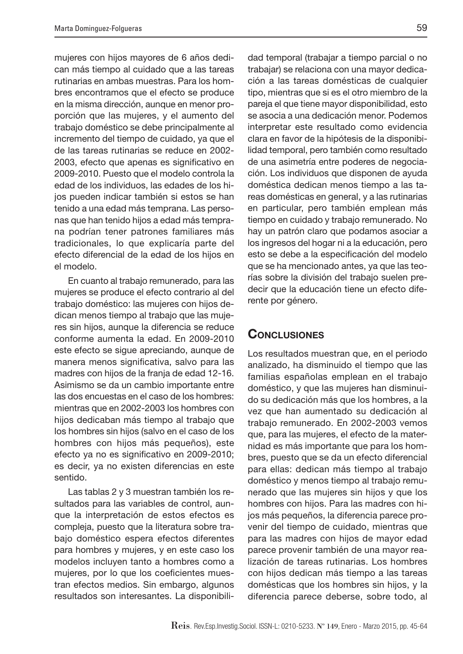mujeres con hijos mayores de 6 años dedican más tiempo al cuidado que a las tareas rutinarias en ambas muestras. Para los hombres encontramos que el efecto se produce en la misma dirección, aunque en menor proporción que las mujeres, y el aumento del trabajo doméstico se debe principalmente al incremento del tiempo de cuidado, ya que el de las tareas rutinarias se reduce en 2002- 2003, efecto que apenas es significativo en 2009-2010. Puesto que el modelo controla la edad de los individuos, las edades de los hijos pueden indicar también si estos se han tenido a una edad más temprana. Las personas que han tenido hijos a edad más temprana podrían tener patrones familiares más tradicionales, lo que explicaría parte del efecto diferencial de la edad de los hijos en el modelo.

En cuanto al trabajo remunerado, para las mujeres se produce el efecto contrario al del trabajo doméstico: las mujeres con hijos dedican menos tiempo al trabajo que las mujeres sin hijos, aunque la diferencia se reduce conforme aumenta la edad. En 2009-2010 este efecto se sigue apreciando, aunque de manera menos significativa, salvo para las madres con hijos de la franja de edad 12-16. Asimismo se da un cambio importante entre las dos encuestas en el caso de los hombres: mientras que en 2002-2003 los hombres con hijos dedicaban más tiempo al trabajo que los hombres sin hijos (salvo en el caso de los hombres con hijos más pequeños), este efecto ya no es significativo en 2009-2010; es decir, ya no existen diferencias en este sentido.

Las tablas 2 y 3 muestran también los resultados para las variables de control, aunque la interpretación de estos efectos es compleja, puesto que la literatura sobre trabajo doméstico espera efectos diferentes para hombres y mujeres, y en este caso los modelos incluyen tanto a hombres como a mujeres, por lo que los coeficientes muestran efectos medios. Sin embargo, algunos resultados son interesantes. La disponibili-

dad temporal (trabajar a tiempo parcial o no trabajar) se relaciona con una mayor dedicación a las tareas domésticas de cualquier tipo, mientras que si es el otro miembro de la pareja el que tiene mayor disponibilidad, esto se asocia a una dedicación menor. Podemos interpretar este resultado como evidencia clara en favor de la hipótesis de la disponibilidad temporal, pero también como resultado de una asimetría entre poderes de negociación. Los individuos que disponen de ayuda doméstica dedican menos tiempo a las tareas domésticas en general, y a las rutinarias en particular, pero también emplean más tiempo en cuidado y trabajo remunerado. No hay un patrón claro que podamos asociar a los ingresos del hogar ni a la educación, pero esto se debe a la especificación del modelo que se ha mencionado antes, ya que las teorías sobre la división del trabajo suelen predecir que la educación tiene un efecto diferente por género.

### **CONCLUSIONES**

Los resultados muestran que, en el periodo analizado, ha disminuido el tiempo que las familias españolas emplean en el trabajo doméstico, y que las mujeres han disminuido su dedicación más que los hombres, a la vez que han aumentado su dedicación al trabajo remunerado. En 2002-2003 vemos que, para las mujeres, el efecto de la maternidad es más importante que para los hombres, puesto que se da un efecto diferencial para ellas: dedican más tiempo al trabajo doméstico y menos tiempo al trabajo remunerado que las mujeres sin hijos y que los hombres con hijos. Para las madres con hijos más pequeños, la diferencia parece provenir del tiempo de cuidado, mientras que para las madres con hijos de mayor edad parece provenir también de una mayor realización de tareas rutinarias. Los hombres con hijos dedican más tiempo a las tareas domésticas que los hombres sin hijos, y la diferencia parece deberse, sobre todo, al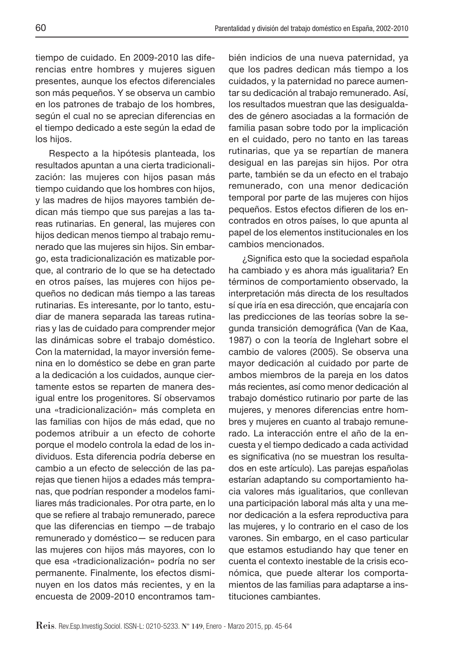tiempo de cuidado. En 2009-2010 las diferencias entre hombres y mujeres siguen presentes, aunque los efectos diferenciales son más pequeños. Y se observa un cambio en los patrones de trabajo de los hombres, según el cual no se aprecian diferencias en el tiempo dedicado a este según la edad de los hijos.

Respecto a la hipótesis planteada, los resultados apuntan a una cierta tradicionalización: las mujeres con hijos pasan más tiempo cuidando que los hombres con hijos, y las madres de hijos mayores también dedican más tiempo que sus parejas a las tareas rutinarias. En general, las mujeres con hijos dedican menos tiempo al trabajo remunerado que las mujeres sin hijos. Sin embargo, esta tradicionalización es matizable porque, al contrario de lo que se ha detectado en otros países, las mujeres con hijos pequeños no dedican más tiempo a las tareas rutinarias. Es interesante, por lo tanto, estudiar de manera separada las tareas rutinarias y las de cuidado para comprender mejor las dinámicas sobre el trabajo doméstico. Con la maternidad, la mayor inversión femenina en lo doméstico se debe en gran parte a la dedicación a los cuidados, aunque ciertamente estos se reparten de manera desigual entre los progenitores. Sí observamos una «tradicionalización» más completa en las familias con hijos de más edad, que no podemos atribuir a un efecto de cohorte porque el modelo controla la edad de los individuos. Esta diferencia podría deberse en cambio a un efecto de selección de las parejas que tienen hijos a edades más tempranas, que podrían responder a modelos familiares más tradicionales. Por otra parte, en lo que se refiere al trabajo remunerado, parece que las diferencias en tiempo —de trabajo remunerado y doméstico— se reducen para las mujeres con hijos más mayores, con lo que esa «tradicionalización» podría no ser permanente. Finalmente, los efectos disminuyen en los datos más recientes, y en la encuesta de 2009-2010 encontramos también indicios de una nueva paternidad, ya que los padres dedican más tiempo a los cuidados, y la paternidad no parece aumentar su dedicación al trabajo remunerado. Así, los resultados muestran que las desigualdades de género asociadas a la formación de familia pasan sobre todo por la implicación en el cuidado, pero no tanto en las tareas rutinarias, que ya se repartían de manera desigual en las parejas sin hijos. Por otra parte, también se da un efecto en el trabajo remunerado, con una menor dedicación temporal por parte de las mujeres con hijos pequeños. Estos efectos difieren de los encontrados en otros países, lo que apunta al papel de los elementos institucionales en los cambios mencionados.

¿Significa esto que la sociedad española ha cambiado y es ahora más igualitaria? En términos de comportamiento observado, la interpretación más directa de los resultados sí que iría en esa dirección, que encajaría con las predicciones de las teorías sobre la segunda transición demográfica (Van de Kaa, 1987) o con la teoría de Inglehart sobre el cambio de valores (2005). Se observa una mayor dedicación al cuidado por parte de ambos miembros de la pareja en los datos más recientes, así como menor dedicación al trabajo doméstico rutinario por parte de las mujeres, y menores diferencias entre hombres y mujeres en cuanto al trabajo remunerado. La interacción entre el año de la encuesta y el tiempo dedicado a cada actividad es significativa (no se muestran los resultados en este artículo). Las parejas españolas estarían adaptando su comportamiento hacia valores más igualitarios, que conllevan una participación laboral más alta y una menor dedicación a la esfera reproductiva para las mujeres, y lo contrario en el caso de los varones. Sin embargo, en el caso particular que estamos estudiando hay que tener en cuenta el contexto inestable de la crisis económica, que puede alterar los comportamientos de las familias para adaptarse a instituciones cambiantes.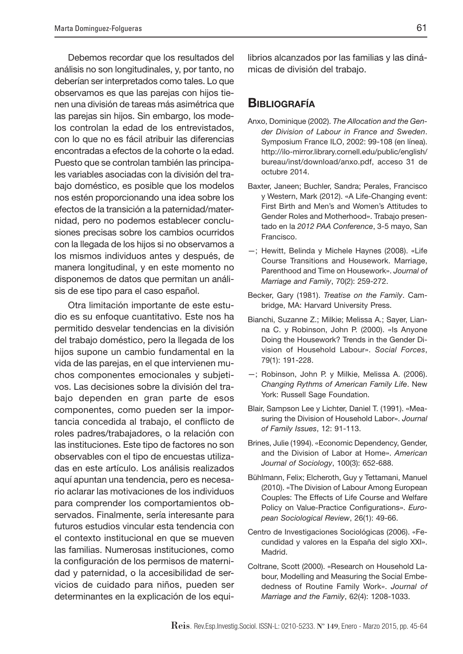Debemos recordar que los resultados del análisis no son longitudinales, y, por tanto, no deberían ser interpretados como tales. Lo que observamos es que las parejas con hijos tienen una división de tareas más asimétrica que las parejas sin hijos. Sin embargo, los modelos controlan la edad de los entrevistados, con lo que no es fácil atribuir las diferencias encontradas a efectos de la cohorte o la edad. Puesto que se controlan también las principales variables asociadas con la división del trabajo doméstico, es posible que los modelos nos estén proporcionando una idea sobre los efectos de la transición a la paternidad/maternidad, pero no podemos establecer conclusiones precisas sobre los cambios ocurridos con la llegada de los hijos si no observamos a los mismos individuos antes y después, de manera longitudinal, y en este momento no disponemos de datos que permitan un análisis de ese tipo para el caso español.

Otra limitación importante de este estudio es su enfoque cuantitativo. Este nos ha permitido desvelar tendencias en la división del trabajo doméstico, pero la llegada de los hijos supone un cambio fundamental en la vida de las parejas, en el que intervienen muchos componentes emocionales y subjetivos. Las decisiones sobre la división del trabajo dependen en gran parte de esos componentes, como pueden ser la importancia concedida al trabajo, el conflicto de roles padres/trabajadores, o la relación con las instituciones. Este tipo de factores no son observables con el tipo de encuestas utilizadas en este artículo. Los análisis realizados aquí apuntan una tendencia, pero es necesario aclarar las motivaciones de los individuos para comprender los comportamientos observados. Finalmente, sería interesante para futuros estudios vincular esta tendencia con el contexto institucional en que se mueven las familias. Numerosas instituciones, como la configuración de los permisos de maternidad y paternidad, o la accesibilidad de servicios de cuidado para niños, pueden ser determinantes en la explicación de los equilibrios alcanzados por las familias y las dinámicas de división del trabajo.

#### **BIBLIOGRAFÍA**

- Anxo, Dominique (2002). The Allocation and the Gender Division of Labour in France and Sweden. Symposium France ILO, 2002: 99-108 (en línea). http://ilo-mirror.library.cornell.edu/public/english/ bureau/inst/download/anxo.pdf, acceso 31 de octubre 2014.
- Baxter, Janeen; Buchler, Sandra; Perales, Francisco y Western, Mark (2012). «A Life-Changing event: First Birth and Men's and Women's Attitudes to Gender Roles and Motherhood». Trabajo presentado en la 2012 PAA Conference, 3-5 mayo, San Francisco.
- —; Hewitt, Belinda y Michele Haynes (2008). «Life Course Transitions and Housework. Marriage, Parenthood and Time on Housework». Journal of Marriage and Family, 70(2): 259-272.
- Becker, Gary (1981). Treatise on the Family. Cambridge, MA: Harvard University Press.
- Bianchi, Suzanne Z.; Milkie; Melissa A.; Sayer, Lianna C. y Robinson, John P. (2000). «Is Anyone Doing the Housework? Trends in the Gender Division of Household Labour». Social Forces, 79(1): 191-228.
- —; Robinson, John P. y Milkie, Melissa A. (2006). Changing Rythms of American Family Life. New York: Russell Sage Foundation.
- Blair, Sampson Lee y Lichter, Daniel T. (1991). «Measuring the Division of Household Labor». Journal of Family Issues, 12: 91-113.
- Brines, Julie (1994). «Economic Dependency, Gender, and the Division of Labor at Home». American Journal of Sociology, 100(3): 652-688.
- Bühlmann, Felix; Elcheroth, Guy y Tettamani, Manuel (2010). «The Division of Labour Among European Couples: The Effects of Life Course and Welfare Policy on Value-Practice Configurations». European Sociological Review, 26(1): 49-66.
- Centro de Investigaciones Sociológicas (2006). «Fecundidad y valores en la España del siglo XXI». Madrid.
- Coltrane, Scott (2000). «Research on Household Labour, Modelling and Measuring the Social Embededness of Routine Family Work». Journal of Marriage and the Family, 62(4): 1208-1033.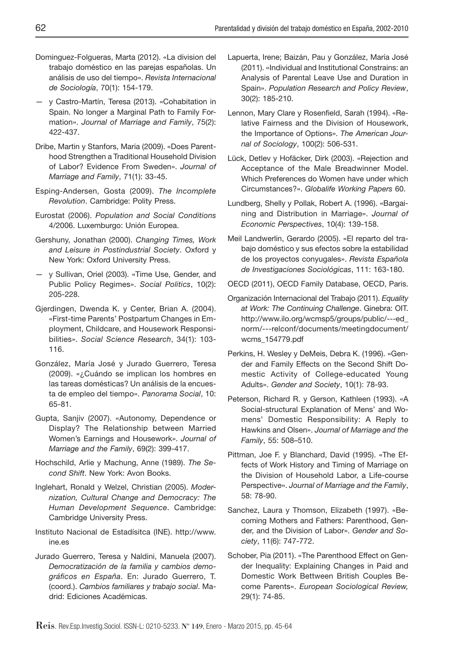- Dominguez-Folgueras, Marta (2012). «La division del trabajo doméstico en las parejas españolas. Un análisis de uso del tiempo». Revista Internacional de Sociología, 70(1): 154-179.
- y Castro-Martín, Teresa (2013). «Cohabitation in Spain. No longer a Marginal Path to Family Formation». Journal of Marriage and Family, 75(2): 422-437.
- Dribe, Martin y Stanfors, Maria (2009). «Does Parenthood Strengthen a Traditional Household Division of Labor? Evidence From Sweden». Journal of Marriage and Family, 71(1): 33-45.
- Esping-Andersen, Gosta (2009). The Incomplete Revolution. Cambridge: Polity Press.
- Eurostat (2006). Population and Social Conditions 4/2006. Luxemburgo: Unión Europea.
- Gershuny, Jonathan (2000). Changing Times, Work and Leisure in Postindustrial Society. Oxford y New York: Oxford University Press.
- y Sullivan, Oriel (2003). «Time Use, Gender, and Public Policy Regimes». Social Politics, 10(2): 205-228.
- Gjerdingen, Dwenda K. y Center, Brian A. (2004). «First-time Parents' Postpartum Changes in Employment, Childcare, and Housework Responsibilities». Social Science Research, 34(1): 103- 116.
- González, María José y Jurado Guerrero, Teresa (2009). «¿Cuándo se implican los hombres en las tareas domésticas? Un análisis de la encuesta de empleo del tiempo». Panorama Social, 10: 65-81.
- Gupta, Sanjiv (2007). «Autonomy, Dependence or Display? The Relationship between Married Women's Earnings and Housework». Journal of Marriage and the Family, 69(2): 399-417.
- Hochschild, Arlie y Machung, Anne (1989). The Second Shift. New York: Avon Books.
- Inglehart, Ronald y Welzel, Christian (2005). Modernization, Cultural Change and Democracy: The Human Development Sequence. Cambridge: Cambridge University Press.
- Instituto Nacional de Estadísitca (INE). http://www. ine.es
- Jurado Guerrero, Teresa y Naldini, Manuela (2007). Democratización de la familia y cambios demográficos en España. En: Jurado Guerrero, T. (coord.). Cambios familiares y trabajo social. Madrid: Ediciones Académicas.
- Lapuerta, Irene; Baizán, Pau y González, María José (2011). «Individual and Institutional Constrains: an Analysis of Parental Leave Use and Duration in Spain». Population Research and Policy Review, 30(2): 185-210.
- Lennon, Mary Clare y Rosenfield, Sarah (1994). «Relative Fairness and the Division of Housework, the Importance of Options». The American Journal of Sociology, 100(2): 506-531.
- Lück, Detlev y Hofäcker, Dirk (2003). «Rejection and Acceptance of the Male Breadwinner Model. Which Preferences do Women have under which Circumstances?». Globalife Working Papers 60.
- Lundberg, Shelly y Pollak, Robert A. (1996). «Bargaining and Distribution in Marriage». Journal of Economic Perspectives, 10(4): 139-158.
- Meil Landwerlin, Gerardo (2005). «El reparto del trabajo doméstico y sus efectos sobre la estabilidad de los proyectos conyugales». Revista Española de Investigaciones Sociológicas, 111: 163-180.
- OECD (2011), OECD Family Database, OECD, Paris.
- Organización Internacional del Trabajo (2011). Equality at Work: The Continuing Challenge. Ginebra: OIT. http://www.ilo.org/wcmsp5/groups/public/---ed\_ norm/---relconf/documents/meetingdocument/ wcms\_154779.pdf
- Perkins, H. Wesley y DeMeis, Debra K. (1996). «Gender and Family Effects on the Second Shift Domestic Activity of College-educated Young Adults». Gender and Society, 10(1): 78-93.
- Peterson, Richard R. y Gerson, Kathleen (1993). «A Social-structural Explanation of Mens' and Womens' Domestic Responsibility: A Reply to Hawkins and Olsen». Journal of Marriage and the Family, 55: 508–510.
- Pittman, Joe F. y Blanchard, David (1995). «The Effects of Work History and Timing of Marriage on the Division of Household Labor, a Life-course Perspective». Journal of Marriage and the Family, 58: 78-90.
- Sanchez, Laura y Thomson, Elizabeth (1997). «Becoming Mothers and Fathers: Parenthood, Gender, and the Division of Labor». Gender and Society, 11(6): 747-772.
- Schober, Pia (2011). «The Parenthood Effect on Gender Inequality: Explaining Changes in Paid and Domestic Work Bettween British Couples Become Parents». European Sociological Review, 29(1): 74-85.